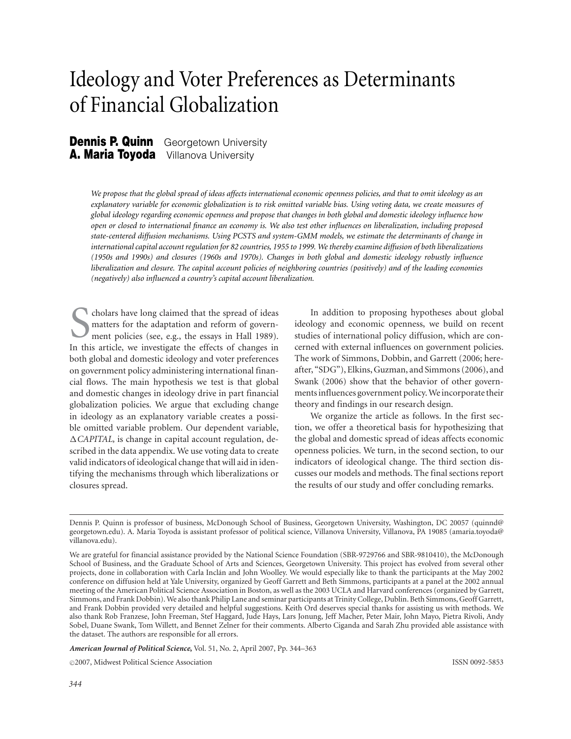# Ideology and Voter Preferences as Determinants of Financial Globalization

**Dennis P. Quinn** Georgetown University A. Maria Toyoda Villanova University

> *We propose that the global spread of ideas affects international economic openness policies, and that to omit ideology as an explanatory variable for economic globalization is to risk omitted variable bias. Using voting data, we create measures of global ideology regarding economic openness and propose that changes in both global and domestic ideology influence how open or closed to international finance an economy is. We also test other influences on liberalization, including proposed state-centered diffusion mechanisms. Using PCSTS and system-GMM models, we estimate the determinants of change in international capital account regulation for 82 countries, 1955 to 1999. We thereby examine diffusion of both liberalizations (1950s and 1990s) and closures (1960s and 1970s). Changes in both global and domestic ideology robustly influence liberalization and closure. The capital account policies of neighboring countries (positively) and of the leading economies (negatively) also influenced a country's capital account liberalization.*

I cholars have long claimed that the spread of ideas matters for the adaptation and reform of government policies (see, e.g., the essays in Hall 1989). In this article, we investigate the effects of changes in both global and domestic ideology and voter preferences on government policy administering international financial flows. The main hypothesis we test is that global and domestic changes in ideology drive in part financial globalization policies. We argue that excluding change in ideology as an explanatory variable creates a possible omitted variable problem. Our dependent variable, -*CAPITAL,* is change in capital account regulation, described in the data appendix. We use voting data to create valid indicators of ideological change that will aid in identifying the mechanisms through which liberalizations or closures spread.

In addition to proposing hypotheses about global ideology and economic openness, we build on recent studies of international policy diffusion, which are concerned with external influences on government policies. The work of Simmons, Dobbin, and Garrett (2006; hereafter, "SDG"), Elkins, Guzman, and Simmons (2006), and Swank (2006) show that the behavior of other governmentsinfluences government policy.Weincorporate their theory and findings in our research design.

We organize the article as follows. In the first section, we offer a theoretical basis for hypothesizing that the global and domestic spread of ideas affects economic openness policies. We turn, in the second section, to our indicators of ideological change. The third section discusses our models and methods. The final sections report the results of our study and offer concluding remarks.

*American Journal of Political Science***,** Vol. 51, No. 2, April 2007, Pp. 344–363

-<sup>C</sup> 2007, Midwest Political Science Association ISSN 0092-5853

Dennis P. Quinn is professor of business, McDonough School of Business, Georgetown University, Washington, DC 20057 (quinnd@ georgetown.edu). A. Maria Toyoda is assistant professor of political science, Villanova University, Villanova, PA 19085 (amaria.toyoda@ villanova.edu).

We are grateful for financial assistance provided by the National Science Foundation (SBR-9729766 and SBR-9810410), the McDonough School of Business, and the Graduate School of Arts and Sciences, Georgetown University. This project has evolved from several other projects, done in collaboration with Carla Inclan and John Woolley. We would especially like to thank the participants at the May 2002 ´ conference on diffusion held at Yale University, organized by Geoff Garrett and Beth Simmons, participants at a panel at the 2002 annual meeting of the American Political Science Association in Boston, as well as the 2003 UCLA and Harvard conferences (organized by Garrett, Simmons, and Frank Dobbin). We also thank Philip Lane and seminar participants at Trinity College, Dublin. Beth Simmons, Geoff Garrett, and Frank Dobbin provided very detailed and helpful suggestions. Keith Ord deserves special thanks for assisting us with methods. We also thank Rob Franzese, John Freeman, Stef Haggard, Jude Hays, Lars Jonung, Jeff Macher, Peter Mair, John Mayo, Pietra Rivoli, Andy Sobel, Duane Swank, Tom Willett, and Bennet Zelner for their comments. Alberto Ciganda and Sarah Zhu provided able assistance with the dataset. The authors are responsible for all errors.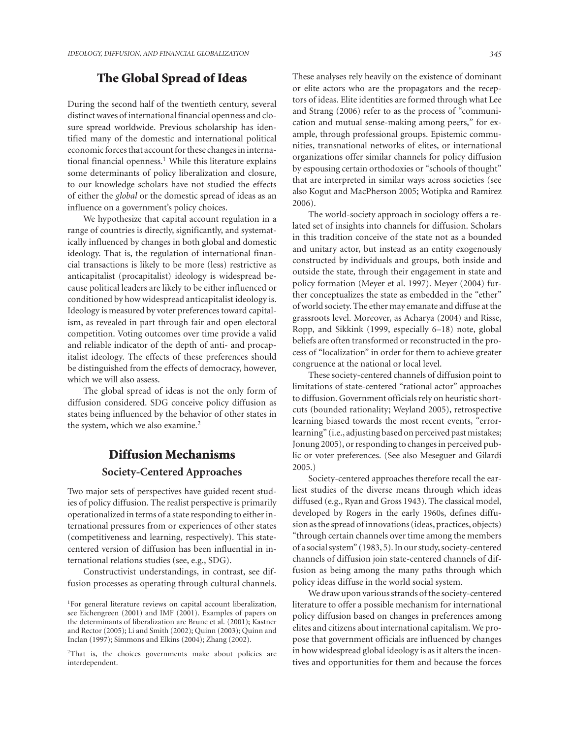#### **The Global Spread of Ideas**

During the second half of the twentieth century, several distinct waves of international financial openness and closure spread worldwide. Previous scholarship has identified many of the domestic and international political economic forces that account for these changes in international financial openness.<sup>1</sup> While this literature explains some determinants of policy liberalization and closure, to our knowledge scholars have not studied the effects of either the *global* or the domestic spread of ideas as an influence on a government's policy choices.

We hypothesize that capital account regulation in a range of countries is directly, significantly, and systematically influenced by changes in both global and domestic ideology. That is, the regulation of international financial transactions is likely to be more (less) restrictive as anticapitalist (procapitalist) ideology is widespread because political leaders are likely to be either influenced or conditioned by how widespread anticapitalist ideology is. Ideology is measured by voter preferences toward capitalism, as revealed in part through fair and open electoral competition. Voting outcomes over time provide a valid and reliable indicator of the depth of anti- and procapitalist ideology. The effects of these preferences should be distinguished from the effects of democracy, however, which we will also assess.

The global spread of ideas is not the only form of diffusion considered. SDG conceive policy diffusion as states being influenced by the behavior of other states in the system, which we also examine.<sup>2</sup>

# **Diffusion Mechanisms Society-Centered Approaches**

Two major sets of perspectives have guided recent studies of policy diffusion. The realist perspective is primarily operationalized in terms of a state responding to either international pressures from or experiences of other states (competitiveness and learning, respectively). This statecentered version of diffusion has been influential in international relations studies (see, e.g., SDG).

Constructivist understandings, in contrast, see diffusion processes as operating through cultural channels.

nities, transnational networks of elites, or international organizations offer similar channels for policy diffusion by espousing certain orthodoxies or "schools of thought" that are interpreted in similar ways across societies (see also Kogut and MacPherson 2005; Wotipka and Ramirez 2006).

The world-society approach in sociology offers a related set of insights into channels for diffusion. Scholars in this tradition conceive of the state not as a bounded and unitary actor, but instead as an entity exogenously constructed by individuals and groups, both inside and outside the state, through their engagement in state and policy formation (Meyer et al. 1997). Meyer (2004) further conceptualizes the state as embedded in the "ether" of world society. The ether may emanate and diffuse at the grassroots level. Moreover, as Acharya (2004) and Risse, Ropp, and Sikkink (1999, especially 6–18) note, global beliefs are often transformed or reconstructed in the process of "localization" in order for them to achieve greater congruence at the national or local level.

These society-centered channels of diffusion point to limitations of state-centered "rational actor" approaches to diffusion. Government officials rely on heuristic shortcuts (bounded rationality; Weyland 2005), retrospective learning biased towards the most recent events, "errorlearning" (i.e., adjusting based on perceived past mistakes; Jonung 2005), or responding to changes in perceived public or voter preferences. (See also Meseguer and Gilardi 2005.)

Society-centered approaches therefore recall the earliest studies of the diverse means through which ideas diffused (e.g., Ryan and Gross 1943). The classical model, developed by Rogers in the early 1960s, defines diffusion as the spread of innovations (ideas, practices, objects) "through certain channels over time among the members of a social system" (1983, 5). In our study, society-centered channels of diffusion join state-centered channels of diffusion as being among the many paths through which policy ideas diffuse in the world social system.

We draw upon various strands of the society-centered literature to offer a possible mechanism for international policy diffusion based on changes in preferences among elites and citizens about international capitalism. We propose that government officials are influenced by changes in how widespread global ideology is as it alters the incentives and opportunities for them and because the forces

<sup>1</sup>For general literature reviews on capital account liberalization, see Eichengreen (2001) and IMF (2001). Examples of papers on the determinants of liberalization are Brune et al. (2001); Kastner and Rector (2005); Li and Smith (2002); Quinn (2003); Quinn and Inclan (1997); Simmons and Elkins (2004); Zhang (2002).

<sup>&</sup>lt;sup>2</sup>That is, the choices governments make about policies are interdependent.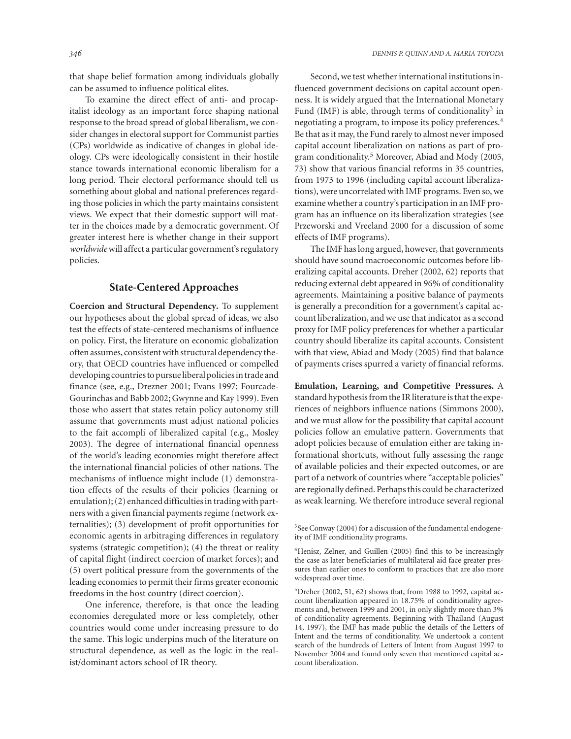that shape belief formation among individuals globally can be assumed to influence political elites.

To examine the direct effect of anti- and procapitalist ideology as an important force shaping national response to the broad spread of global liberalism, we consider changes in electoral support for Communist parties (CPs) worldwide as indicative of changes in global ideology. CPs were ideologically consistent in their hostile stance towards international economic liberalism for a long period. Their electoral performance should tell us something about global and national preferences regarding those policies in which the party maintains consistent views. We expect that their domestic support will matter in the choices made by a democratic government. Of greater interest here is whether change in their support *worldwide* will affect a particular government's regulatory policies.

#### **State-Centered Approaches**

**Coercion and Structural Dependency.** To supplement our hypotheses about the global spread of ideas, we also test the effects of state-centered mechanisms of influence on policy. First, the literature on economic globalization often assumes, consistentwith structural dependency theory, that OECD countries have influenced or compelled developing countries to pursueliberal policiesin trade and finance (see, e.g., Drezner 2001; Evans 1997; Fourcade-Gourinchas and Babb 2002; Gwynne and Kay 1999). Even those who assert that states retain policy autonomy still assume that governments must adjust national policies to the fait accompli of liberalized capital (e.g., Mosley 2003). The degree of international financial openness of the world's leading economies might therefore affect the international financial policies of other nations. The mechanisms of influence might include (1) demonstration effects of the results of their policies (learning or emulation); (2) enhanced difficulties in trading with partners with a given financial payments regime (network externalities); (3) development of profit opportunities for economic agents in arbitraging differences in regulatory systems (strategic competition); (4) the threat or reality of capital flight (indirect coercion of market forces); and (5) overt political pressure from the governments of the leading economies to permit their firms greater economic freedoms in the host country (direct coercion).

One inference, therefore, is that once the leading economies deregulated more or less completely, other countries would come under increasing pressure to do the same. This logic underpins much of the literature on structural dependence, as well as the logic in the realist/dominant actors school of IR theory.

Second, we test whether international institutions influenced government decisions on capital account openness. It is widely argued that the International Monetary Fund (IMF) is able, through terms of conditionality<sup>3</sup> in negotiating a program, to impose its policy preferences.<sup>4</sup> Be that as it may, the Fund rarely to almost never imposed capital account liberalization on nations as part of program conditionality.<sup>5</sup> Moreover, Abiad and Mody (2005, 73) show that various financial reforms in 35 countries, from 1973 to 1996 (including capital account liberalizations), were uncorrelated with IMF programs. Even so, we examine whether a country's participation in an IMF program has an influence on its liberalization strategies (see Przeworski and Vreeland 2000 for a discussion of some effects of IMF programs).

The IMF has long argued, however, that governments should have sound macroeconomic outcomes before liberalizing capital accounts. Dreher (2002, 62) reports that reducing external debt appeared in 96% of conditionality agreements. Maintaining a positive balance of payments is generally a precondition for a government's capital account liberalization, and we use that indicator as a second proxy for IMF policy preferences for whether a particular country should liberalize its capital accounts. Consistent with that view, Abiad and Mody (2005) find that balance of payments crises spurred a variety of financial reforms.

**Emulation, Learning, and Competitive Pressures.** A standard hypothesis from the IR literature is that the experiences of neighbors influence nations (Simmons 2000), and we must allow for the possibility that capital account policies follow an emulative pattern. Governments that adopt policies because of emulation either are taking informational shortcuts, without fully assessing the range of available policies and their expected outcomes, or are part of a network of countries where "acceptable policies" are regionally defined. Perhaps this could be characterized as weak learning. We therefore introduce several regional

<sup>3</sup>See Conway (2004) for a discussion of the fundamental endogeneity of IMF conditionality programs.

5Dreher (2002, 51, 62) shows that, from 1988 to 1992, capital account liberalization appeared in 18.75% of conditionality agreements and, between 1999 and 2001, in only slightly more than 3% of conditionality agreements. Beginning with Thailand (August 14, 1997), the IMF has made public the details of the Letters of Intent and the terms of conditionality. We undertook a content search of the hundreds of Letters of Intent from August 1997 to November 2004 and found only seven that mentioned capital account liberalization.

<sup>4</sup>Henisz, Zelner, and Guillen (2005) find this to be increasingly the case as later beneficiaries of multilateral aid face greater pressures than earlier ones to conform to practices that are also more widespread over time.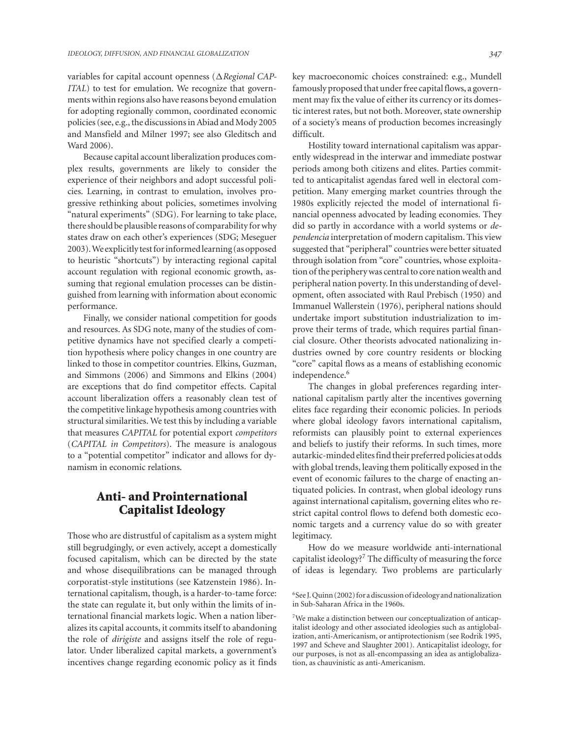variables for capital account openness (ARegional CAP-*ITAL*) to test for emulation. We recognize that governments within regions also have reasons beyond emulation for adopting regionally common, coordinated economic policies (see, e.g., the discussions in Abiad and Mody 2005 and Mansfield and Milner 1997; see also Gleditsch and Ward 2006).

Because capital account liberalization produces complex results, governments are likely to consider the experience of their neighbors and adopt successful policies. Learning, in contrast to emulation, involves progressive rethinking about policies, sometimes involving "natural experiments" (SDG). For learning to take place, there should be plausible reasons of comparability for why states draw on each other's experiences (SDG; Meseguer 2003). We explicitly test for informed learning (as opposed to heuristic "shortcuts") by interacting regional capital account regulation with regional economic growth, assuming that regional emulation processes can be distinguished from learning with information about economic performance.

Finally, we consider national competition for goods and resources. As SDG note, many of the studies of competitive dynamics have not specified clearly a competition hypothesis where policy changes in one country are linked to those in competitor countries. Elkins, Guzman, and Simmons (2006) and Simmons and Elkins (2004) are exceptions that do find competitor effects. Capital account liberalization offers a reasonably clean test of the competitive linkage hypothesis among countries with structural similarities. We test this by including a variable that measures *CAPITAL* for potential export *competitors* (*CAPITAL in Competitors*). The measure is analogous to a "potential competitor" indicator and allows for dynamism in economic relations.

## **Anti- and Prointernational Capitalist Ideology**

Those who are distrustful of capitalism as a system might still begrudgingly, or even actively, accept a domestically focused capitalism, which can be directed by the state and whose disequilibrations can be managed through corporatist-style institutions (see Katzenstein 1986). International capitalism, though, is a harder-to-tame force: the state can regulate it, but only within the limits of international financial markets logic. When a nation liberalizes its capital accounts, it commits itself to abandoning the role of *dirigiste* and assigns itself the role of regulator. Under liberalized capital markets, a government's incentives change regarding economic policy as it finds key macroeconomic choices constrained: e.g., Mundell famously proposed that under free capital flows, a government may fix the value of either its currency or its domestic interest rates, but not both. Moreover, state ownership of a society's means of production becomes increasingly difficult.

Hostility toward international capitalism was apparently widespread in the interwar and immediate postwar periods among both citizens and elites. Parties committed to anticapitalist agendas fared well in electoral competition. Many emerging market countries through the 1980s explicitly rejected the model of international financial openness advocated by leading economies. They did so partly in accordance with a world systems or *dependencia* interpretation of modern capitalism. This view suggested that "peripheral" countries were better situated through isolation from "core" countries, whose exploitation of the periphery was central to core nation wealth and peripheral nation poverty. In this understanding of development, often associated with Raul Prebisch (1950) and Immanuel Wallerstein (1976), peripheral nations should undertake import substitution industrialization to improve their terms of trade, which requires partial financial closure. Other theorists advocated nationalizing industries owned by core country residents or blocking "core" capital flows as a means of establishing economic independence.<sup>6</sup>

The changes in global preferences regarding international capitalism partly alter the incentives governing elites face regarding their economic policies. In periods where global ideology favors international capitalism, reformists can plausibly point to external experiences and beliefs to justify their reforms. In such times, more autarkic-minded elitesfind their preferred policies at odds with global trends, leaving them politically exposed in the event of economic failures to the charge of enacting antiquated policies. In contrast, when global ideology runs against international capitalism, governing elites who restrict capital control flows to defend both domestic economic targets and a currency value do so with greater legitimacy.

How do we measure worldwide anti-international capitalist ideology?<sup>7</sup> The difficulty of measuring the force of ideas is legendary. Two problems are particularly

 $6$ See J. Quinn (2002) for a discussion of ideology and nationalization in Sub-Saharan Africa in the 1960s.

<sup>7</sup>We make a distinction between our conceptualization of anticapitalist ideology and other associated ideologies such as antiglobalization, anti-Americanism, or antiprotectionism (see Rodrik 1995, 1997 and Scheve and Slaughter 2001). Anticapitalist ideology, for our purposes, is not as all-encompassing an idea as antiglobalization, as chauvinistic as anti-Americanism.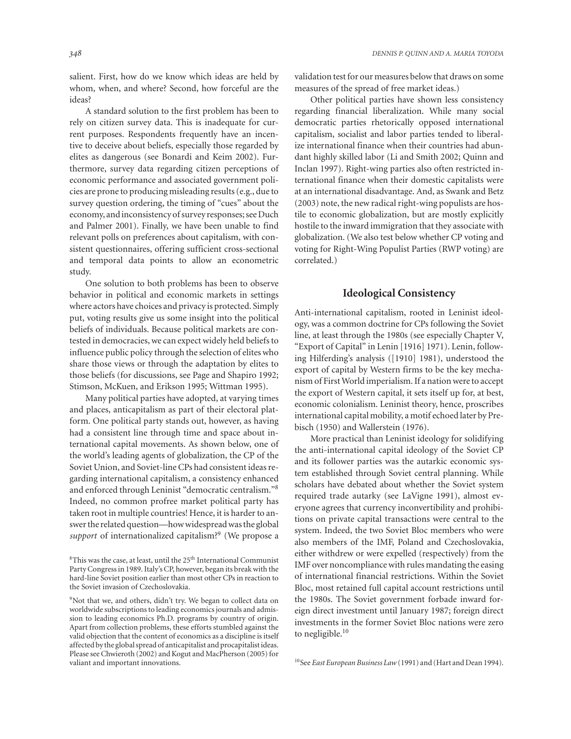salient. First, how do we know which ideas are held by whom, when, and where? Second, how forceful are the ideas?

A standard solution to the first problem has been to rely on citizen survey data. This is inadequate for current purposes. Respondents frequently have an incentive to deceive about beliefs, especially those regarded by elites as dangerous (see Bonardi and Keim 2002). Furthermore, survey data regarding citizen perceptions of economic performance and associated government policies are prone to producing misleading results (e.g., due to survey question ordering, the timing of "cues" about the economy, andinconsistency of survey responses; see Duch and Palmer 2001). Finally, we have been unable to find relevant polls on preferences about capitalism, with consistent questionnaires, offering sufficient cross-sectional and temporal data points to allow an econometric study.

One solution to both problems has been to observe behavior in political and economic markets in settings where actors have choices and privacy is protected. Simply put, voting results give us some insight into the political beliefs of individuals. Because political markets are contested in democracies, we can expect widely held beliefs to influence public policy through the selection of elites who share those views or through the adaptation by elites to those beliefs (for discussions, see Page and Shapiro 1992; Stimson, McKuen, and Erikson 1995; Wittman 1995).

Many political parties have adopted, at varying times and places, anticapitalism as part of their electoral platform. One political party stands out, however, as having had a consistent line through time and space about international capital movements. As shown below, one of the world's leading agents of globalization, the CP of the Soviet Union, and Soviet-line CPs had consistent ideas regarding international capitalism, a consistency enhanced and enforced through Leninist "democratic centralism."8 Indeed, no common profree market political party has taken root in multiple countries! Hence, it is harder to answer the related question—howwidespreadwas the global *support* of internationalized capitalism?<sup>9</sup> (We propose a validation test for our measures below that draws on some measures of the spread of free market ideas.)

Other political parties have shown less consistency regarding financial liberalization. While many social democratic parties rhetorically opposed international capitalism, socialist and labor parties tended to liberalize international finance when their countries had abundant highly skilled labor (Li and Smith 2002; Quinn and Inclan 1997). Right-wing parties also often restricted international finance when their domestic capitalists were at an international disadvantage. And, as Swank and Betz (2003) note, the new radical right-wing populists are hostile to economic globalization, but are mostly explicitly hostile to the inward immigration that they associate with globalization. (We also test below whether CP voting and voting for Right-Wing Populist Parties (RWP voting) are correlated.)

#### **Ideological Consistency**

Anti-international capitalism, rooted in Leninist ideology, was a common doctrine for CPs following the Soviet line, at least through the 1980s (see especially Chapter V, "Export of Capital" in Lenin [1916] 1971). Lenin, following Hilferding's analysis ([1910] 1981), understood the export of capital by Western firms to be the key mechanism of FirstWorld imperialism. If a nation were to accept the export of Western capital, it sets itself up for, at best, economic colonialism. Leninist theory, hence, proscribes international capital mobility, a motif echoed later by Prebisch (1950) and Wallerstein (1976).

More practical than Leninist ideology for solidifying the anti-international capital ideology of the Soviet CP and its follower parties was the autarkic economic system established through Soviet central planning. While scholars have debated about whether the Soviet system required trade autarky (see LaVigne 1991), almost everyone agrees that currency inconvertibility and prohibitions on private capital transactions were central to the system. Indeed, the two Soviet Bloc members who were also members of the IMF, Poland and Czechoslovakia, either withdrew or were expelled (respectively) from the IMF over noncompliance with rules mandating the easing of international financial restrictions. Within the Soviet Bloc, most retained full capital account restrictions until the 1980s. The Soviet government forbade inward foreign direct investment until January 1987; foreign direct investments in the former Soviet Bloc nations were zero to negligible. $10$ 

10See *East European Business Law* (1991) and (Hart and Dean 1994).

 $8$ This was the case, at least, until the 25<sup>th</sup> International Communist Party Congress in 1989. Italy's CP, however, began its break with the hard-line Soviet position earlier than most other CPs in reaction to the Soviet invasion of Czechoslovakia.

<sup>&</sup>lt;sup>9</sup>Not that we, and others, didn't try. We began to collect data on worldwide subscriptions to leading economics journals and admission to leading economics Ph.D. programs by country of origin. Apart from collection problems, these efforts stumbled against the valid objection that the content of economics as a discipline is itself affected by the global spread of anticapitalist and procapitalist ideas. Please see Chwieroth (2002) and Kogut and MacPherson (2005) for valiant and important innovations.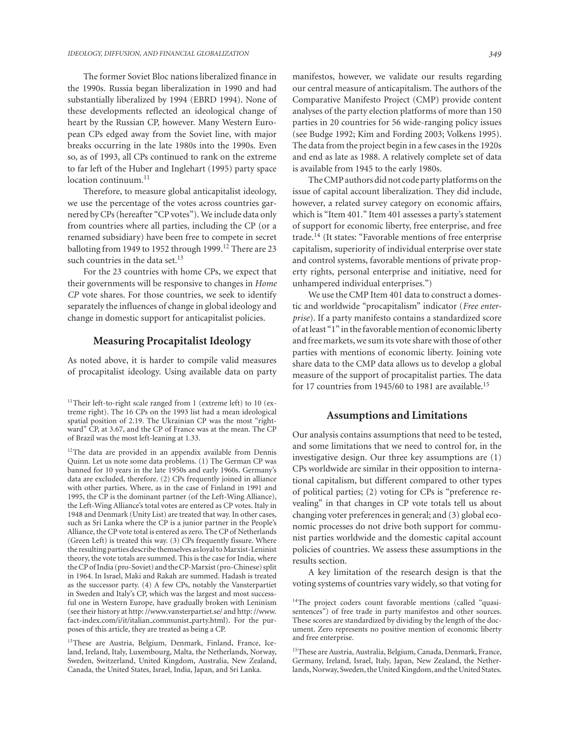The former Soviet Bloc nations liberalized finance in the 1990s. Russia began liberalization in 1990 and had substantially liberalized by 1994 (EBRD 1994). None of these developments reflected an ideological change of heart by the Russian CP, however. Many Western European CPs edged away from the Soviet line, with major breaks occurring in the late 1980s into the 1990s. Even so, as of 1993, all CPs continued to rank on the extreme to far left of the Huber and Inglehart (1995) party space location continuum.<sup>11</sup>

Therefore, to measure global anticapitalist ideology, we use the percentage of the votes across countries garnered by CPs (hereafter "CP votes"). We include data only from countries where all parties, including the CP (or a renamed subsidiary) have been free to compete in secret balloting from 1949 to 1952 through 1999.<sup>12</sup> There are 23 such countries in the data set. $^{13}$ 

For the 23 countries with home CPs, we expect that their governments will be responsive to changes in *Home CP* vote shares. For those countries, we seek to identify separately the influences of change in global ideology and change in domestic support for anticapitalist policies.

#### **Measuring Procapitalist Ideology**

As noted above, it is harder to compile valid measures of procapitalist ideology. Using available data on party

<sup>11</sup>Their left-to-right scale ranged from 1 (extreme left) to 10 (extreme right). The 16 CPs on the 1993 list had a mean ideological spatial position of 2.19. The Ukrainian CP was the most "rightward" CP, at 3.67, and the CP of France was at the mean. The CP of Brazil was the most left-leaning at 1.33.

<sup>12</sup>The data are provided in an appendix available from Dennis Quinn. Let us note some data problems. (1) The German CP was banned for 10 years in the late 1950s and early 1960s. Germany's data are excluded, therefore. (2) CPs frequently joined in alliance with other parties. Where, as in the case of Finland in 1991 and 1995, the CP is the dominant partner (of the Left-Wing Alliance), the Left-Wing Alliance's total votes are entered as CP votes. Italy in 1948 and Denmark (Unity List) are treated that way. In other cases, such as Sri Lanka where the CP is a junior partner in the People's Alliance, the CP vote total is entered as zero. The CP of Netherlands (Green Left) is treated this way. (3) CPs frequently fissure. Where the resulting parties describe themselves as loyal to Marxist-Leninist theory, the vote totals are summed. This is the case for India, where theCP of India (pro-Soviet) and theCP-Marxist (pro-Chinese) split in 1964. In Israel, Maki and Rakah are summed. Hadash is treated as the successor party. (4) A few CPs, notably the Vansterpartiet in Sweden and Italy's CP, which was the largest and most successful one in Western Europe, have gradually broken with Leninism (see their history at http: //www.vansterpartiet.se/ and http: //www. fact-index.com/i/it/italian communist party.html). For the purposes of this article, they are treated as being a CP.

<sup>13</sup>These are Austria, Belgium, Denmark, Finland, France, Iceland, Ireland, Italy, Luxembourg, Malta, the Netherlands, Norway, Sweden, Switzerland, United Kingdom, Australia, New Zealand, Canada, the United States, Israel, India, Japan, and Sri Lanka.

manifestos, however, we validate our results regarding our central measure of anticapitalism. The authors of the Comparative Manifesto Project (CMP) provide content analyses of the party election platforms of more than 150 parties in 20 countries for 56 wide-ranging policy issues (see Budge 1992; Kim and Fording 2003; Volkens 1995). The data from the project begin in a few cases in the 1920s and end as late as 1988. A relatively complete set of data is available from 1945 to the early 1980s.

The CMP authors did not code party platforms on the issue of capital account liberalization. They did include, however, a related survey category on economic affairs, which is "Item 401." Item 401 assesses a party's statement of support for economic liberty, free enterprise, and free trade.<sup>14</sup> (It states: "Favorable mentions of free enterprise capitalism, superiority of individual enterprise over state and control systems, favorable mentions of private property rights, personal enterprise and initiative, need for unhampered individual enterprises.")

We use the CMP Item 401 data to construct a domestic and worldwide "procapitalism" indicator (*Free enterprise*). If a party manifesto contains a standardized score of at least "1" in thefavorablemention of economic liberty and free markets, we sum its vote share with those of other parties with mentions of economic liberty. Joining vote share data to the CMP data allows us to develop a global measure of the support of procapitalist parties. The data for 17 countries from 1945/60 to 1981 are available.<sup>15</sup>

#### **Assumptions and Limitations**

Our analysis contains assumptions that need to be tested, and some limitations that we need to control for, in the investigative design. Our three key assumptions are (1) CPs worldwide are similar in their opposition to international capitalism, but different compared to other types of political parties; (2) voting for CPs is "preference revealing" in that changes in CP vote totals tell us about changing voter preferences in general; and (3) global economic processes do not drive both support for communist parties worldwide and the domestic capital account policies of countries. We assess these assumptions in the results section.

A key limitation of the research design is that the voting systems of countries vary widely, so that voting for

<sup>&</sup>lt;sup>14</sup>The project coders count favorable mentions (called "quasisentences") of free trade in party manifestos and other sources. These scores are standardized by dividing by the length of the document. Zero represents no positive mention of economic liberty and free enterprise.

<sup>15</sup>These are Austria, Australia, Belgium, Canada, Denmark, France, Germany, Ireland, Israel, Italy, Japan, New Zealand, the Netherlands, Norway, Sweden, the United Kingdom, and the United States.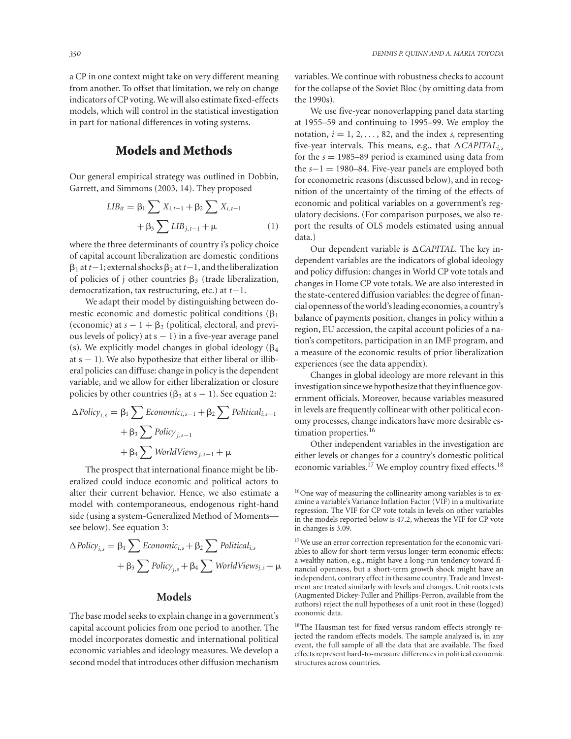a CP in one context might take on very different meaning from another. To offset that limitation, we rely on change indicators of CP voting.We will also estimate fixed-effects models, which will control in the statistical investigation in part for national differences in voting systems.

### **Models and Methods**

Our general empirical strategy was outlined in Dobbin, Garrett, and Simmons (2003, 14). They proposed

$$
LIB_{it} = \beta_1 \sum X_{i,t-1} + \beta_2 \sum X_{i,t-1} + \beta_3 \sum LIB_{j,t-1} + \mu
$$
 (1)

where the three determinants of country i's policy choice of capital account liberalization are domestic conditions -<sup>1</sup> at*t*−1; external shocks-<sup>2</sup> at*t*−1, and the liberalization of policies of j other countries  $\beta_3$  (trade liberalization, democratization, tax restructuring, etc.) at *t*−1.

We adapt their model by distinguishing between domestic economic and domestic political conditions ( $\beta_1$ (economic) at  $s - 1 + \beta_2$  (political, electoral, and previous levels of policy) at  $s - 1$ ) in a five-year average panel (s). We explicitly model changes in global ideology ( $\beta_4$ at  $s - 1$ ). We also hypothesize that either liberal or illiberal policies can diffuse: change in policy is the dependent variable, and we allow for either liberalization or closure policies by other countries ( $\beta_3$  at s – 1). See equation 2:

$$
\Delta Policy_{i,s} = \beta_1 \sum Economic_{i,s-1} + \beta_2 \sum Political_{i,s-1} + \beta_3 \sum Policy_{j,s-1} + \beta_4 \sum WorldView_{j,s-1} + \mu
$$

The prospect that international finance might be liberalized could induce economic and political actors to alter their current behavior. Hence, we also estimate a model with contemporaneous, endogenous right-hand side (using a system-Generalized Method of Moments see below). See equation 3:

$$
\Delta Policy_{i,s} = \beta_1 \sum Economic_{i,s} + \beta_2 \sum Political_{i,s} + \beta_3 \sum Policy_{j,s} + \beta_4 \sum WorldView_{j,s} + \mu
$$

#### **Models**

The base model seeks to explain change in a government's capital account policies from one period to another. The model incorporates domestic and international political economic variables and ideology measures. We develop a second model that introduces other diffusion mechanism

variables. We continue with robustness checks to account for the collapse of the Soviet Bloc (by omitting data from the 1990s).

We use five-year nonoverlapping panel data starting at 1955–59 and continuing to 1995–99. We employ the notation,  $i = 1, 2, \ldots, 82$ , and the index *s*, representing five-year intervals. This means, e.g., that  $\Delta CAPTIAL_{i,s}$ for the  $s = 1985-89$  period is examined using data from the *s*−1 = 1980–84. Five-year panels are employed both for econometric reasons (discussed below), and in recognition of the uncertainty of the timing of the effects of economic and political variables on a government's regulatory decisions. (For comparison purposes, we also report the results of OLS models estimated using annual data.)

Our dependent variable is  $\triangle$  *CAPITAL*. The key independent variables are the indicators of global ideology and policy diffusion: changes in World CP vote totals and changes in Home CP vote totals. We are also interested in the state-centered diffusion variables: the degree of financial openness of theworld'sleading economies, a country's balance of payments position, changes in policy within a region, EU accession, the capital account policies of a nation's competitors, participation in an IMF program, and a measure of the economic results of prior liberalization experiences (see the data appendix).

Changes in global ideology are more relevant in this investigation since we hypothesize that they influence government officials. Moreover, because variables measured in levels are frequently collinear with other political economy processes, change indicators have more desirable estimation properties.<sup>16</sup>

Other independent variables in the investigation are either levels or changes for a country's domestic political economic variables.<sup>17</sup> We employ country fixed effects.<sup>18</sup>

<sup>18</sup>The Hausman test for fixed versus random effects strongly rejected the random effects models. The sample analyzed is, in any event, the full sample of all the data that are available. The fixed effects represent hard-to-measure differences in political economic structures across countries.

<sup>&</sup>lt;sup>16</sup>One way of measuring the collinearity among variables is to examine a variable's Variance Inflation Factor (VIF) in a multivariate regression. The VIF for CP vote totals in levels on other variables in the models reported below is 47.2, whereas the VIF for CP vote in changes is 3.09.

<sup>&</sup>lt;sup>17</sup>We use an error correction representation for the economic variables to allow for short-term versus longer-term economic effects: a wealthy nation, e.g., might have a long-run tendency toward financial openness, but a short-term growth shock might have an independent, contrary effect in the same country. Trade and Investment are treated similarly with levels and changes. Unit roots tests (Augmented Dickey-Fuller and Phillips-Perron, available from the authors) reject the null hypotheses of a unit root in these (logged) economic data.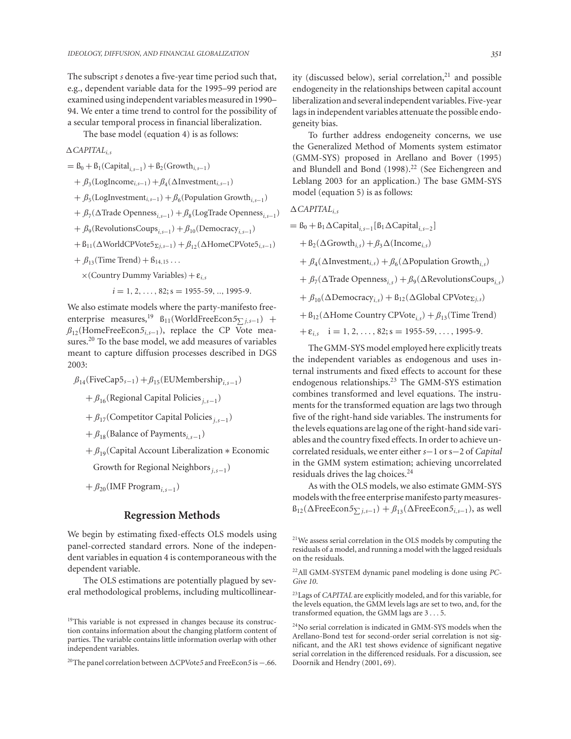The subscript *s* denotes a five-year time period such that, e.g., dependent variable data for the 1995–99 period are examined using independent variables measured in 1990– 94. We enter a time trend to control for the possibility of a secular temporal process in financial liberalization.

The base model (equation 4) is as follows:

-*CAPITALi*,*<sup>s</sup>*

 $=$   $B_0 + B_1(Capital_{i,s-1}) + B_2(Growth_{i,s-1})$ 

 $+ \beta_3(\text{LogIncome}_{i,s-1}) + \beta_4(\Delta \text{Investment}_{i,s-1})$ 

 $+ \beta_5$ (LogInvestment<sub>i,s−1</sub>)  $+ \beta_6$ (Population Growth<sub>is-1</sub>)

+ *ß*7(-Trade Openness*i*,*s*−1) <sup>+</sup> *ß*8(LogTrade Openness*i*,*s*−1)

 $+ \beta_9(\text{RevolutionsCoups}_{i, s-1}) + \beta_{10}(\text{Demoracy}_{i, s-1})$ 

- $+$  β<sub>11</sub>(∆WorldCPVote5<sub>Σj,s−1</sub>)  $+$  β<sub>12</sub>(∆HomeCPVote5<sub>*i*,s−1</sub>)</sup>
- $+ \beta_{13}$ (Time Trend) +  $\beta_{14,15}$ ...

×(Country Dummy Variables) + ε*i*,*<sup>s</sup>*

 $i = 1, 2, \ldots, 82; s = 1955-59, \ldots, 1995-9.$ 

We also estimate models where the party-manifesto freeenterprise measures,<sup>19</sup> <sup>ß</sup>11(WorldFreeEcon*5j*,*s*−1) <sup>+</sup> *ß*12(HomeFreeEcon*5i*,*s*−1), replace the CP Vote measures.<sup>20</sup> To the base model, we add measures of variables meant to capture diffusion processes described in DGS 2003:

 $\beta_{14}$ (FiveCap5<sub>*s*−1</sub>) +  $\beta_{15}$ (EUMembership<sub>*i*, *s*−1</sub>)

+ *<sup>ß</sup>*16(Regional Capital Policies*j*,*s*−1)

+ *<sup>ß</sup>*17(Competitor Capital Policies*j*,*s*−1)

+ *<sup>ß</sup>*18(Balance of Payments*i*,*s*−1)

```
+ ß19(Capital Account Liberalization ∗ Economic
```
Growth for Regional Neighbors*j*,*s*−1)

+ *<sup>ß</sup>*20(IMF Program*i*,*s*−1)

#### **Regression Methods**

We begin by estimating fixed-effects OLS models using panel-corrected standard errors. None of the independent variables in equation 4 is contemporaneous with the dependent variable.

The OLS estimations are potentially plagued by several methodological problems, including multicollinearity (discussed below), serial correlation, $21$  and possible endogeneity in the relationships between capital account liberalization and severalindependent variables. Five-year lags in independent variables attenuate the possible endogeneity bias.

To further address endogeneity concerns, we use the Generalized Method of Moments system estimator (GMM-SYS) proposed in Arellano and Bover (1995) and Blundell and Bond (1998).<sup>22</sup> (See Eichengreen and Leblang 2003 for an application.) The base GMM-SYS model (equation 5) is as follows:

-*CAPITALi*,*<sup>s</sup>*

$$
= \mathcal{B}_0 + \mathcal{B}_1 \Delta \text{Capital}_{i,s-1} [\mathcal{B}_1 \Delta \text{Capital}_{i,s-2}]
$$

 $+$   $\beta_2(\Delta \text{Growth}_{i,s}) + \beta_3 \Delta (\text{Income}_{i,s})$ 

 $+ \beta_4(\Delta \text{Investment}_{i,s}) + \beta_6(\Delta \text{Population Growth}_{i,s})$ 

 $+ \beta_7(\Delta \text{Trace Openness}_{i,s}) + \beta_9(\Delta \text{Revolutions} \text{Coups}_{i,s})$ 

 $+ \beta_{10}(\Delta$ Democracy<sub>*i*,*s*</sub>) + B<sub>12</sub>( $\Delta$ Global CPVote<sub> $\Sigma$ *j*,*s*</sub>)

 $+ B_{12}(\Delta \text{Home Country CPVote}_{i,s}) + \beta_{13}(\text{Time trend})$ 

 $+ \varepsilon_{i,s}$  i = 1, 2, ..., 82; s = 1955-59, ..., 1995-9.

The GMM-SYS model employed here explicitly treats the independent variables as endogenous and uses internal instruments and fixed effects to account for these endogenous relationships.23 The GMM-SYS estimation combines transformed and level equations. The instruments for the transformed equation are lags two through five of the right-hand side variables. The instruments for the levels equations are lag one of the right-hand side variables and the country fixed effects. In order to achieve uncorrelated residuals, we enter either*s*−1 or s−2 of *Capital* in the GMM system estimation; achieving uncorrelated residuals drives the lag choices.24

As with the OLS models, we also estimate GMM-SYS models with the free enterprise manifesto party measures- $B_{12}(\Delta \text{FreeEcon5}_{\sum j,s-1}) + \beta_{13}(\Delta \text{FreeEcon5}_{i,s-1}),$  as well

<sup>&</sup>lt;sup>19</sup>This variable is not expressed in changes because its construction contains information about the changing platform content of parties. The variable contains little information overlap with other independent variables.

<sup>&</sup>lt;sup>20</sup>The panel correlation between  $\triangle$ CPVote5 and FreeEcon5 is −.66.

 $21$ We assess serial correlation in the OLS models by computing the residuals of a model, and running a model with the lagged residuals on the residuals.

<sup>22</sup>All GMM-SYSTEM dynamic panel modeling is done using *PC-Give 10*.

<sup>23</sup>Lags of *CAPITAL* are explicitly modeled, and for this variable, for the levels equation, the GMM levels lags are set to two, and, for the transformed equation, the GMM lags are 3 ... 5.

<sup>24</sup>No serial correlation is indicated in GMM-SYS models when the Arellano-Bond test for second-order serial correlation is not significant, and the AR1 test shows evidence of significant negative serial correlation in the differenced residuals. For a discussion, see Doornik and Hendry (2001, 69).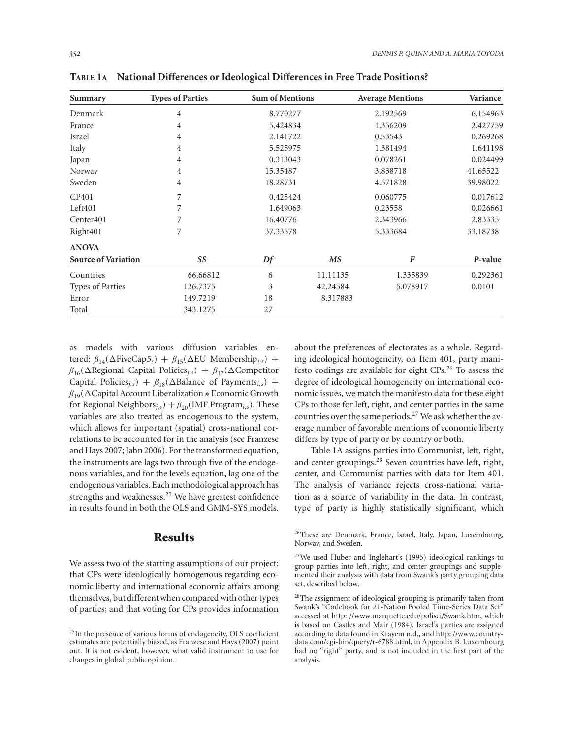| Summary                    | <b>Types of Parties</b> | <b>Sum of Mentions</b> |           | <b>Average Mentions</b> | Variance |
|----------------------------|-------------------------|------------------------|-----------|-------------------------|----------|
| Denmark                    | 4                       | 8.770277               |           | 2.192569                | 6.154963 |
| France                     | 4                       | 5.424834               |           | 1.356209                | 2.427759 |
| Israel                     | 4                       | 2.141722               |           | 0.53543                 | 0.269268 |
| Italy                      | 4                       | 5.525975               |           | 1.381494                | 1.641198 |
| Japan                      | 4                       | 0.313043               |           | 0.078261                | 0.024499 |
| Norway                     | 4                       | 15.35487               |           | 3.838718                | 41.65522 |
| Sweden                     | 4                       | 18.28731               |           | 4.571828                | 39.98022 |
| CP401                      | 7                       | 0.425424               |           | 0.060775                | 0.017612 |
| Left401                    | 7                       | 1.649063               |           | 0.23558                 | 0.026661 |
| Center <sub>401</sub>      | 7                       | 16.40776               |           | 2.343966                | 2.83335  |
| Right401                   | 7                       | 37.33578               |           | 5.333684                | 33.18738 |
| <b>ANOVA</b>               |                         |                        |           |                         |          |
| <b>Source of Variation</b> | SS                      | Df                     | <b>MS</b> | F                       | P-value  |
| Countries                  | 66.66812                | 6                      | 11.11135  | 1.335839                | 0.292361 |
| Types of Parties           | 126.7375                | 3                      | 42.24584  | 5.078917                | 0.0101   |
| Error                      | 149.7219                | 18                     | 8.317883  |                         |          |
| Total                      | 343.1275                | 27                     |           |                         |          |

**TABLE 1A National Differences or Ideological Differences in Free Trade Positions?**

as models with various diffusion variables entered:  $\beta_{14}(\Delta \text{FiveCap5}_s) + \beta_{15}(\Delta \text{EU Membership}_{i,s}) +$  $\beta_{16}(\Delta$ Regional Capital Policies<sub>j,*s*</sub>) +  $\beta_{17}(\Delta$ Competitor Capital Policies<sub>j,*s*</sub>) +  $\beta_{18}$ ( $\Delta$ Balance of Payments<sub>*i,s*</sub>) + *β*<sub>19</sub>(∆Capital Account Liberalization ∗ Economic Growth for Regional Neighbors<sub>*j*,*s*</sub>) +  $\beta_{20}$ (IMF Program<sub>*i*,*s*</sub>). These variables are also treated as endogenous to the system, which allows for important (spatial) cross-national correlations to be accounted for in the analysis (see Franzese and Hays 2007; Jahn 2006). For the transformed equation, the instruments are lags two through five of the endogenous variables, and for the levels equation, lag one of the endogenous variables. Each methodological approach has strengths and weaknesses.<sup>25</sup> We have greatest confidence in results found in both the OLS and GMM-SYS models.

#### **Results**

We assess two of the starting assumptions of our project: that CPs were ideologically homogenous regarding economic liberty and international economic affairs among themselves, but different when compared with other types of parties; and that voting for CPs provides information

about the preferences of electorates as a whole. Regarding ideological homogeneity, on Item 401, party manifesto codings are available for eight CPs.<sup>26</sup> To assess the degree of ideological homogeneity on international economic issues, we match the manifesto data for these eight CPs to those for left, right, and center parties in the same countries over the same periods.<sup>27</sup> We ask whether the average number of favorable mentions of economic liberty differs by type of party or by country or both.

Table 1A assigns parties into Communist, left, right, and center groupings.<sup>28</sup> Seven countries have left, right, center, and Communist parties with data for Item 401. The analysis of variance rejects cross-national variation as a source of variability in the data. In contrast, type of party is highly statistically significant, which

<sup>25</sup>In the presence of various forms of endogeneity, OLS coefficient estimates are potentially biased, as Franzese and Hays (2007) point out. It is not evident, however, what valid instrument to use for changes in global public opinion.

<sup>&</sup>lt;sup>26</sup>These are Denmark, France, Israel, Italy, Japan, Luxembourg, Norway, and Sweden.

 $27$ We used Huber and Inglehart's (1995) ideological rankings to group parties into left, right, and center groupings and supplemented their analysis with data from Swank's party grouping data set, described below.

<sup>&</sup>lt;sup>28</sup>The assignment of ideological grouping is primarily taken from Swank's "Codebook for 21-Nation Pooled Time-Series Data Set" accessed at http: //www.marquette.edu/polisci/Swank.htm, which is based on Castles and Mair (1984). Israel's parties are assigned according to data found in Krayem n.d., and http: //www.countrydata.com/cgi-bin/query/r-6788.html, in Appendix B. Luxembourg had no "right" party, and is not included in the first part of the analysis.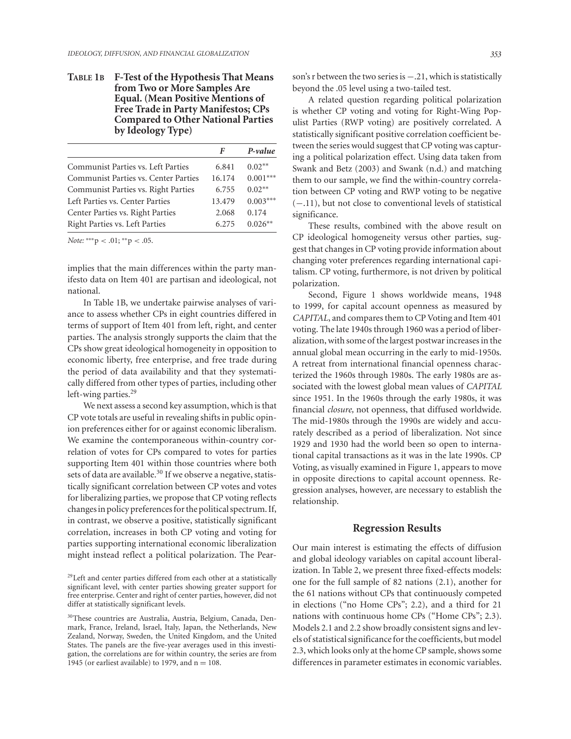**TABLE 1B F-Test of the Hypothesis That Means from Two or More Samples Are Equal. (Mean Positive Mentions of Free Trade in Party Manifestos; CPs Compared to Other National Parties by Ideology Type)**

|                                      | F      | $P-value$  |
|--------------------------------------|--------|------------|
| Communist Parties vs. Left Parties   | 6.841  | $0.02**$   |
| Communist Parties vs. Center Parties | 16.174 | $0.001***$ |
| Communist Parties vs. Right Parties  | 6.755  | $0.02**$   |
| Left Parties vs. Center Parties      | 13.479 | $0.003***$ |
| Center Parties vs. Right Parties     | 2.068  | 0.174      |
| Right Parties vs. Left Parties       | 6.275  | $0.026**$  |

*Note:* ∗∗∗p < .01; ∗∗p < .05.

implies that the main differences within the party manifesto data on Item 401 are partisan and ideological, not national.

In Table 1B, we undertake pairwise analyses of variance to assess whether CPs in eight countries differed in terms of support of Item 401 from left, right, and center parties. The analysis strongly supports the claim that the CPs show great ideological homogeneity in opposition to economic liberty, free enterprise, and free trade during the period of data availability and that they systematically differed from other types of parties, including other left-wing parties.<sup>29</sup>

We next assess a second key assumption, which is that CP vote totals are useful in revealing shifts in public opinion preferences either for or against economic liberalism. We examine the contemporaneous within-country correlation of votes for CPs compared to votes for parties supporting Item 401 within those countries where both sets of data are available.<sup>30</sup> If we observe a negative, statistically significant correlation between CP votes and votes for liberalizing parties, we propose that CP voting reflects changesin policy preferencesfor the political spectrum. If, in contrast, we observe a positive, statistically significant correlation, increases in both CP voting and voting for parties supporting international economic liberalization might instead reflect a political polarization. The Pearson's r between the two series is −.21, which is statistically beyond the .05 level using a two-tailed test.

A related question regarding political polarization is whether CP voting and voting for Right-Wing Populist Parties (RWP voting) are positively correlated. A statistically significant positive correlation coefficient between the series would suggest that CP voting was capturing a political polarization effect. Using data taken from Swank and Betz (2003) and Swank (n.d.) and matching them to our sample, we find the within-country correlation between CP voting and RWP voting to be negative (−.11), but not close to conventional levels of statistical significance.

These results, combined with the above result on CP ideological homogeneity versus other parties, suggest that changes in CP voting provide information about changing voter preferences regarding international capitalism. CP voting, furthermore, is not driven by political polarization.

Second, Figure 1 shows worldwide means, 1948 to 1999, for capital account openness as measured by *CAPITAL*, and compares them to CP Voting and Item 401 voting. The late 1940s through 1960 was a period of liberalization, with some of the largest postwar increases in the annual global mean occurring in the early to mid-1950s. A retreat from international financial openness characterized the 1960s through 1980s. The early 1980s are associated with the lowest global mean values of *CAPITAL* since 1951. In the 1960s through the early 1980s, it was financial *closure,* not openness, that diffused worldwide. The mid-1980s through the 1990s are widely and accurately described as a period of liberalization. Not since 1929 and 1930 had the world been so open to international capital transactions as it was in the late 1990s. CP Voting, as visually examined in Figure 1, appears to move in opposite directions to capital account openness. Regression analyses, however, are necessary to establish the relationship.

#### **Regression Results**

Our main interest is estimating the effects of diffusion and global ideology variables on capital account liberalization. In Table 2, we present three fixed-effects models: one for the full sample of 82 nations (2.1), another for the 61 nations without CPs that continuously competed in elections ("no Home CPs"; 2.2), and a third for 21 nations with continuous home CPs ("Home CPs"; 2.3). Models 2.1 and 2.2 show broadly consistent signs and levels of statistical significance for the coefficients, but model 2.3, which looks only at the home CP sample, shows some differences in parameter estimates in economic variables.

<sup>&</sup>lt;sup>29</sup>Left and center parties differed from each other at a statistically significant level, with center parties showing greater support for free enterprise. Center and right of center parties, however, did not differ at statistically significant levels.

<sup>30</sup>These countries are Australia, Austria, Belgium, Canada, Denmark, France, Ireland, Israel, Italy, Japan, the Netherlands, New Zealand, Norway, Sweden, the United Kingdom, and the United States. The panels are the five-year averages used in this investigation, the correlations are for within country, the series are from 1945 (or earliest available) to 1979, and  $n = 108$ .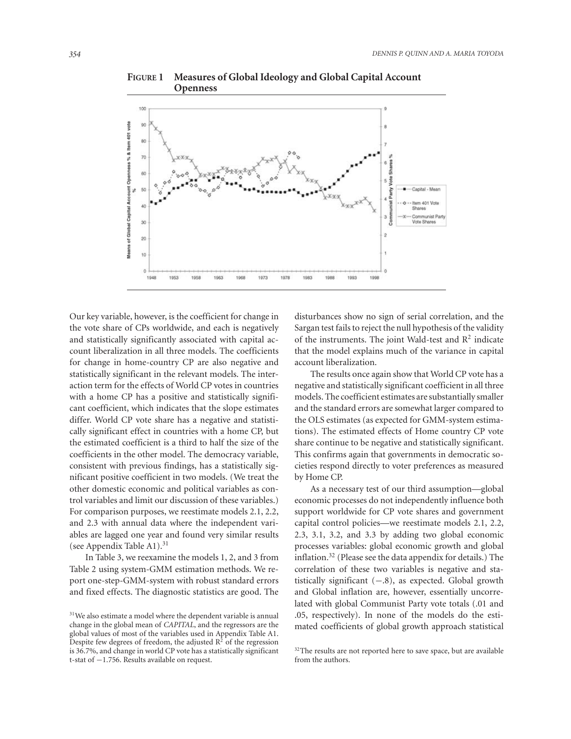

**FIGURE 1 Measures of Global Ideology and Global Capital Account Openness**

Our key variable, however, is the coefficient for change in the vote share of CPs worldwide, and each is negatively and statistically significantly associated with capital account liberalization in all three models. The coefficients for change in home-country CP are also negative and statistically significant in the relevant models. The interaction term for the effects of World CP votes in countries with a home CP has a positive and statistically significant coefficient, which indicates that the slope estimates differ. World CP vote share has a negative and statistically significant effect in countries with a home CP, but the estimated coefficient is a third to half the size of the coefficients in the other model. The democracy variable, consistent with previous findings, has a statistically significant positive coefficient in two models. (We treat the other domestic economic and political variables as control variables and limit our discussion of these variables.) For comparison purposes, we reestimate models 2.1, 2.2, and 2.3 with annual data where the independent variables are lagged one year and found very similar results (see Appendix Table A1). $31$ 

In Table 3, we reexamine the models 1, 2, and 3 from Table 2 using system-GMM estimation methods. We report one-step-GMM-system with robust standard errors and fixed effects. The diagnostic statistics are good. The disturbances show no sign of serial correlation, and the Sargan test fails to reject the null hypothesis of the validity of the instruments. The joint Wald-test and  $\mathbb{R}^2$  indicate that the model explains much of the variance in capital account liberalization.

The results once again show that World CP vote has a negative and statistically significant coefficient in all three models. The coefficient estimates are substantially smaller and the standard errors are somewhat larger compared to the OLS estimates (as expected for GMM-system estimations). The estimated effects of Home country CP vote share continue to be negative and statistically significant. This confirms again that governments in democratic societies respond directly to voter preferences as measured by Home CP.

As a necessary test of our third assumption—global economic processes do not independently influence both support worldwide for CP vote shares and government capital control policies—we reestimate models 2.1, 2.2, 2.3, 3.1, 3.2, and 3.3 by adding two global economic processes variables: global economic growth and global inflation.<sup>32</sup> (Please see the data appendix for details.) The correlation of these two variables is negative and statistically significant (−.8), as expected. Global growth and Global inflation are, however, essentially uncorrelated with global Communist Party vote totals (.01 and .05, respectively). In none of the models do the estimated coefficients of global growth approach statistical

<sup>&</sup>lt;sup>31</sup>We also estimate a model where the dependent variable is annual change in the global mean of *CAPITAL*, and the regressors are the global values of most of the variables used in Appendix Table A1. Despite few degrees of freedom, the adjusted  $R^2$  of the regression is 36.7%, and change in world CP vote has a statistically significant t-stat of −1.756. Results available on request.

 $32$ The results are not reported here to save space, but are available from the authors.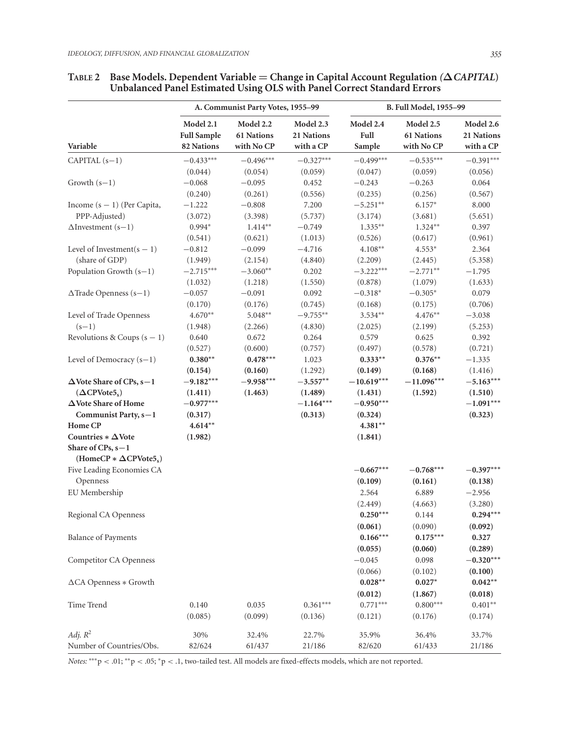|                                               | A. Communist Party Votes, 1955-99             |                                       |                                      | B. Full Model, 1955-99      |                                       |                                      |
|-----------------------------------------------|-----------------------------------------------|---------------------------------------|--------------------------------------|-----------------------------|---------------------------------------|--------------------------------------|
| Variable                                      | Model 2.1<br><b>Full Sample</b><br>82 Nations | Model 2.2<br>61 Nations<br>with No CP | Model 2.3<br>21 Nations<br>with a CP | Model 2.4<br>Full<br>Sample | Model 2.5<br>61 Nations<br>with No CP | Model 2.6<br>21 Nations<br>with a CP |
| $CAPITAL(s-1)$                                | $-0.433***$                                   | $-0.496***$                           | $-0.327***$                          | $-0.499***$                 | $-0.535***$                           | $-0.391***$                          |
|                                               | (0.044)                                       | (0.054)                               | (0.059)                              | (0.047)                     | (0.059)                               | (0.056)                              |
| Growth $(s-1)$                                | $-0.068$                                      | $-0.095$                              | 0.452                                | $-0.243$                    | $-0.263$                              | 0.064                                |
|                                               | (0.240)                                       | (0.261)                               | (0.556)                              | (0.235)                     | (0.256)                               | (0.567)                              |
| Income $(s - 1)$ (Per Capita,                 | $-1.222$                                      | $-0.808$                              | 7.200                                | $-5.251**$                  | $6.157*$                              | 8.000                                |
| PPP-Adjusted)                                 | (3.072)                                       | (3.398)                               | (5.737)                              | (3.174)                     | (3.681)                               | (5.651)                              |
| $\Delta$ Investment (s-1)                     | $0.994*$                                      | $1.414**$                             | $-0.749$                             | $1.335**$                   | $1.324**$                             | 0.397                                |
|                                               | (0.541)                                       | (0.621)                               | (1.013)                              | (0.526)                     | (0.617)                               | (0.961)                              |
| Level of Investment $(s - 1)$                 | $-0.812$                                      | $-0.099$                              | $-4.716$                             | $4.108**$                   | $4.553*$                              | 2.364                                |
| (share of GDP)                                | (1.949)                                       | (2.154)                               | (4.840)                              | (2.209)                     | (2.445)                               | (5.358)                              |
| Population Growth $(s-1)$                     | $-2.715***$                                   | $-3.060**$                            | 0.202                                | $-3.222***$                 | $-2.771**$                            | $-1.795$                             |
|                                               | (1.032)                                       | (1.218)                               | (1.550)                              | (0.878)                     | (1.079)                               | (1.633)                              |
| $\Delta$ Trade Openness (s-1)                 | $-0.057$                                      | $-0.091$                              | 0.092                                | $-0.318*$                   | $-0.305*$                             | 0.079                                |
|                                               | (0.170)                                       | (0.176)                               | (0.745)                              | (0.168)                     | (0.175)                               | (0.706)                              |
| Level of Trade Openness                       | $4.670**$                                     | $5.048**$                             | $-9.755***$                          | $3.534**$                   | $4.476**$                             | $-3.038$                             |
| $(s-1)$                                       | (1.948)                                       | (2.266)                               | (4.830)                              | (2.025)                     | (2.199)                               | (5.253)                              |
| Revolutions & Coups $(s - 1)$                 | 0.640                                         | 0.672                                 | 0.264                                | 0.579                       | 0.625                                 | 0.392                                |
|                                               | (0.527)                                       | (0.600)                               | (0.757)                              | (0.497)                     | (0.578)                               | (0.721)                              |
| Level of Democracy $(s-1)$                    | $0.380**$                                     | $0.478***$                            | 1.023                                | $0.333**$                   | $0.376**$                             | $-1.335$                             |
|                                               | (0.154)                                       | (0.160)                               | (1.292)                              | (0.149)                     | (0.168)                               | (1.416)                              |
| $\Delta$ Vote Share of CPs, s-1               | $-9.182***$                                   | $-9.958***$                           | $-3.557**$                           | $-10.619***$                | $-11.096***$                          | $-5.163***$                          |
| $(\Delta$ CPVote5 <sub>s</sub> )              | (1.411)                                       | (1.463)                               | (1.489)                              | (1.431)                     | (1.592)                               | (1.510)                              |
| $\Delta$ Vote Share of Home                   | $-0.977***$                                   |                                       | $-1.164***$                          | $-0.950***$                 |                                       | $-1.091***$                          |
| Communist Party, s-1                          | (0.317)                                       |                                       | (0.313)                              | (0.324)                     |                                       | (0.323)                              |
| Home CP                                       | $4.614**$                                     |                                       |                                      | $4.381**$                   |                                       |                                      |
| Countries $*\Delta$ Vote<br>Share of CPs, s-1 | (1.982)                                       |                                       |                                      | (1.841)                     |                                       |                                      |
| (HomeCP $*\Delta$ CPVote5 <sub>s</sub> )      |                                               |                                       |                                      |                             |                                       |                                      |
| Five Leading Economies CA                     |                                               |                                       |                                      | $-0.667***$                 | $-0.768***$                           | $-0.397***$                          |
| Openness                                      |                                               |                                       |                                      | (0.109)                     | (0.161)                               | (0.138)                              |
| EU Membership                                 |                                               |                                       |                                      | 2.564                       | 6.889                                 | $-2.956$                             |
|                                               |                                               |                                       |                                      | (2.449)                     | (4.663)                               | (3.280)                              |
| Regional CA Openness                          |                                               |                                       |                                      | $0.250***$                  | 0.144                                 | $0.294***$                           |
|                                               |                                               |                                       |                                      | (0.061)                     | (0.090)                               | (0.092)                              |
| <b>Balance of Payments</b>                    |                                               |                                       |                                      | $0.166***$                  | $0.175***$                            | 0.327                                |
|                                               |                                               |                                       |                                      | (0.055)                     | (0.060)                               | (0.289)                              |
| Competitor CA Openness                        |                                               |                                       |                                      | $-0.045$                    | 0.098                                 | $-0.320***$                          |
|                                               |                                               |                                       |                                      | (0.066)                     | (0.102)                               | (0.100)                              |
| ∆CA Openness * Growth                         |                                               |                                       |                                      | $0.028**$                   | $0.027*$                              | $0.042**$                            |
|                                               |                                               |                                       |                                      | (0.012)                     | (1.867)                               | (0.018)                              |
| Time Trend                                    | 0.140                                         | 0.035                                 | $0.361***$                           | $0.771***$                  | $0.800***$                            | $0.401**$                            |
|                                               | (0.085)                                       | (0.099)                               | (0.136)                              | (0.121)                     | (0.176)                               | (0.174)                              |
| Adj. $R^2$                                    | 30%                                           | 32.4%                                 | 22.7%                                | 35.9%                       | 36.4%                                 | 33.7%                                |
| Number of Countries/Obs.                      | 82/624                                        | 61/437                                | 21/186                               | 82/620                      | 61/433                                | 21/186                               |
|                                               |                                               |                                       |                                      |                             |                                       |                                      |

**TABLE 2 Base Models. Dependent Variable = Change in Capital Account Regulation** *(***Δ***CAPITAL***) Unbalanced Panel Estimated Using OLS with Panel Correct Standard Errors**

*Notes:* ∗∗∗p < .01; ∗∗p < .05; <sup>∗</sup>p < .1, two-tailed test. All models are fixed-effects models, which are not reported.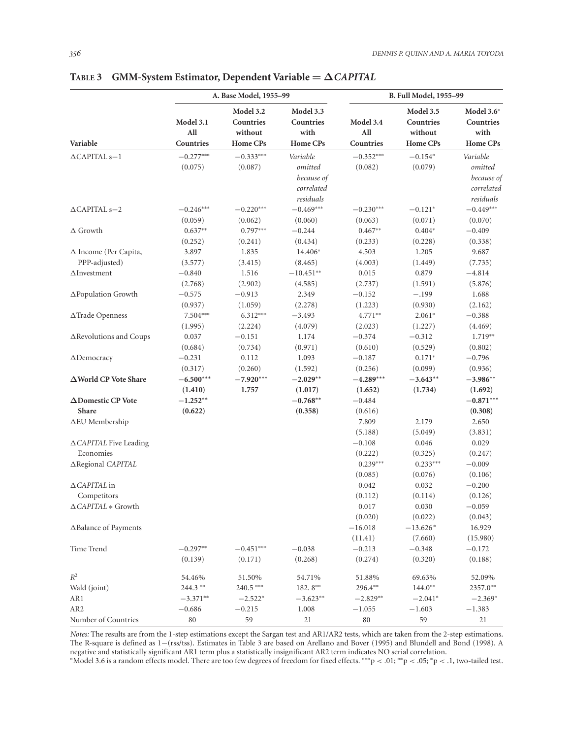|                                             |                               | A. Base Model, 1955-99                        |                                                  | B. Full Model, 1955-99        |                                               |                                                  |
|---------------------------------------------|-------------------------------|-----------------------------------------------|--------------------------------------------------|-------------------------------|-----------------------------------------------|--------------------------------------------------|
| Variable                                    | Model 3.1<br>All<br>Countries | Model 3.2<br>Countries<br>without<br>Home CPs | Model 3.3<br>Countries<br>with<br>Home CPs       | Model 3.4<br>All<br>Countries | Model 3.5<br>Countries<br>without<br>Home CPs | Model $3.6^*$<br>Countries<br>with<br>Home CPs   |
| $\triangle$ CAPITAL <sub>s-1</sub>          | $-0.277***$                   | $-0.333***$                                   | Variable                                         | $-0.352***$                   | $-0.154*$                                     | Variable                                         |
|                                             | (0.075)                       | (0.087)                                       | omitted<br>because of<br>correlated<br>residuals | (0.082)                       | (0.079)                                       | omitted<br>because of<br>correlated<br>residuals |
| $\triangle$ CAPITAL <sub>s-2</sub>          | $-0.246***$<br>(0.059)        | $-0.220***$<br>(0.062)                        | $-0.469***$<br>(0.060)                           | $-0.230***$<br>(0.063)        | $-0.121*$<br>(0.071)                          | $-0.449***$<br>(0.070)                           |
| $\Delta$ Growth                             | $0.637**$<br>(0.252)          | $0.797***$<br>(0.241)                         | $-0.244$<br>(0.434)                              | $0.467**$<br>(0.233)          | $0.404*$<br>(0.228)                           | $-0.409$<br>(0.338)                              |
| △ Income (Per Capita,                       | 3.897                         | 1.835                                         | 14.406*                                          | 4.503                         | 1.205                                         | 9.687                                            |
| PPP-adjusted)                               | (3.577)                       | (3.415)                                       | (8.465)                                          | (4.003)                       | (1.449)                                       | (7.735)                                          |
| $\Delta$ Investment                         | $-0.840$                      | 1.516                                         | $-10.451**$                                      | 0.015                         | 0.879                                         | $-4.814$                                         |
|                                             | (2.768)                       | (2.902)                                       | (4.585)                                          | (2.737)                       | (1.591)                                       | (5.876)                                          |
| ∆Population Growth                          | $-0.575$                      | $-0.913$                                      | 2.349                                            | $-0.152$                      | $-.199$                                       | 1.688                                            |
|                                             | (0.937)                       | (1.059)                                       | (2.278)                                          | (1.223)                       | (0.930)                                       | (2.162)                                          |
| ∆Trade Openness                             | 7.504***                      | $6.312***$                                    | $-3.493$                                         | 4.771**                       | $2.061*$                                      | $-0.388$                                         |
|                                             | (1.995)                       | (2.224)                                       | (4.079)                                          | (2.023)                       | (1.227)                                       | (4.469)                                          |
| ∆Revolutions and Coups                      | 0.037                         | $-0.151$                                      | 1.174                                            | $-0.374$                      | $-0.312$                                      | $1.719**$                                        |
|                                             | (0.684)                       | (0.734)                                       | (0.971)                                          | (0.610)                       | (0.529)                                       | (0.802)                                          |
| $\triangle$ Democracy                       | $-0.231$                      | 0.112                                         | 1.093                                            | $-0.187$                      | $0.171*$                                      | $-0.796$                                         |
|                                             | (0.317)                       | (0.260)                                       | (1.592)                                          | (0.256)                       | (0.099)                                       | (0.936)                                          |
| △World CP Vote Share                        | $-6.500***$                   | $-7.920***$                                   | $-2.029**$                                       | $-4.289***$                   | $-3.643**$                                    | $-3.986**$                                       |
|                                             | (1.410)                       | 1.757                                         | (1.017)                                          | (1.652)                       | (1.734)                                       | (1.692)                                          |
| $\Delta$ Domestic CP Vote                   | $-1.252**$                    |                                               | $-0.768**$                                       | $-0.484$                      |                                               | $-0.871***$                                      |
| Share                                       | (0.622)                       |                                               | (0.358)                                          | (0.616)                       |                                               | (0.308)                                          |
| ∆EU Membership                              |                               |                                               |                                                  | 7.809                         | 2.179                                         | 2.650                                            |
|                                             |                               |                                               |                                                  | (5.188)                       | (5.049)                                       | (3.831)                                          |
| $\triangle$ CAPITAL Five Leading            |                               |                                               |                                                  | $-0.108$                      | 0.046                                         | 0.029                                            |
| Economies                                   |                               |                                               |                                                  | (0.222)                       | (0.325)                                       | (0.247)                                          |
| ∆Regional CAPITAL                           |                               |                                               |                                                  | $0.239***$                    | $0.233***$                                    | $-0.009$                                         |
|                                             |                               |                                               |                                                  | (0.085)                       | (0.076)                                       | (0.106)                                          |
| ∆ <i>CAPITAL</i> in                         |                               |                                               |                                                  | 0.042                         | 0.032                                         | $-0.200$                                         |
| Competitors                                 |                               |                                               |                                                  | (0.112)                       | (0.114)                                       | (0.126)                                          |
| $\Delta\mathit{CAPITAL}\ast\mathit{Growth}$ |                               |                                               |                                                  | 0.017                         | 0.030                                         | $-0.059$                                         |
|                                             |                               |                                               |                                                  | (0.020)                       | (0.022)                                       | (0.043)                                          |
| ∆Balance of Payments                        |                               |                                               |                                                  | $-16.018$                     | $-13.626*$                                    | 16.929                                           |
|                                             |                               |                                               |                                                  | (11.41)                       | (7.660)                                       | (15.980)                                         |
| Time Trend                                  | $-0.297**$                    | $-0.451***$                                   | $-0.038$                                         | $-0.213$                      | $-0.348$                                      | $-0.172$                                         |
|                                             | (0.139)                       | (0.171)                                       | (0.268)                                          | (0.274)                       | (0.320)                                       | (0.188)                                          |
| $R^2$                                       | 54.46%                        | 51.50%                                        | 54.71%                                           | 51.88%                        | 69.63%                                        | 52.09%                                           |
| Wald (joint)                                | 244.3**                       | 240.5 ***                                     | 182.8**                                          | 296.4**                       | $144.0**$                                     | 2357.0**                                         |
| AR1                                         | $-3.371**$                    | $-2.522*$                                     | $-3.623**$                                       | $-2.829**$                    | $-2.041*$                                     | $-2.369*$                                        |
| AR <sub>2</sub>                             | $-0.686$                      | $-0.215$                                      | 1.008                                            | $-1.055$                      | $-1.603$                                      | $-1.383$                                         |
| Number of Countries                         | 80                            | 59                                            | 21                                               | 80                            | 59                                            | 21                                               |

**TABLE 3 GMM-System Estimator, Dependent Variable = Δ***CAPITAL*

*Notes:* The results are from the 1-step estimations except the Sargan test and AR1/AR2 tests, which are taken from the 2-step estimations. The R-square is defined as 1−(rss/tss). Estimates in Table 3 are based on Arellano and Bover (1995) and Blundell and Bond (1998). A negative and statistically significant AR1 term plus a statistically insignificant AR2 term indicates NO serial correlation.

<sup>∗</sup>Model 3.6 is a random effects model. There are too few degrees of freedom for fixed effects. ∗∗∗p < .01; ∗∗p < .05; <sup>∗</sup>p < .1, two-tailed test.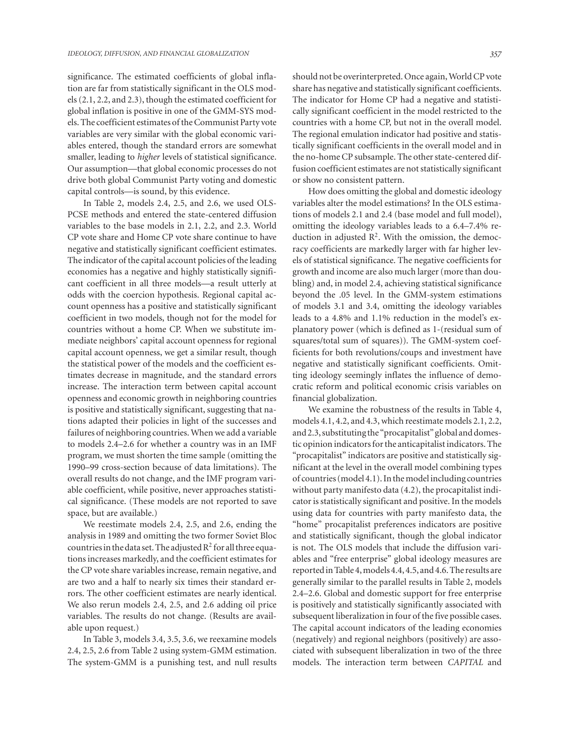significance. The estimated coefficients of global inflation are far from statistically significant in the OLS models (2.1, 2.2, and 2.3), though the estimated coefficient for global inflation is positive in one of the GMM-SYS models. The coefficient estimates of the Communist Party vote variables are very similar with the global economic variables entered, though the standard errors are somewhat smaller, leading to *higher* levels of statistical significance. Our assumption—that global economic processes do not drive both global Communist Party voting and domestic capital controls—is sound, by this evidence.

In Table 2, models 2.4, 2.5, and 2.6, we used OLS-PCSE methods and entered the state-centered diffusion variables to the base models in 2.1, 2.2, and 2.3. World CP vote share and Home CP vote share continue to have negative and statistically significant coefficient estimates. The indicator of the capital account policies of the leading economies has a negative and highly statistically significant coefficient in all three models—a result utterly at odds with the coercion hypothesis. Regional capital account openness has a positive and statistically significant coefficient in two models, though not for the model for countries without a home CP. When we substitute immediate neighbors' capital account openness for regional capital account openness, we get a similar result, though the statistical power of the models and the coefficient estimates decrease in magnitude, and the standard errors increase. The interaction term between capital account openness and economic growth in neighboring countries is positive and statistically significant, suggesting that nations adapted their policies in light of the successes and failures of neighboring countries. When we add a variable to models 2.4–2.6 for whether a country was in an IMF program, we must shorten the time sample (omitting the 1990–99 cross-section because of data limitations). The overall results do not change, and the IMF program variable coefficient, while positive, never approaches statistical significance. (These models are not reported to save space, but are available.)

We reestimate models 2.4, 2.5, and 2.6, ending the analysis in 1989 and omitting the two former Soviet Bloc countries in the data set. The adjusted  $R^2$  for all three equations increases markedly, and the coefficient estimates for the CP vote share variables increase, remain negative, and are two and a half to nearly six times their standard errors. The other coefficient estimates are nearly identical. We also rerun models 2.4, 2.5, and 2.6 adding oil price variables. The results do not change. (Results are available upon request.)

In Table 3, models 3.4, 3.5, 3.6, we reexamine models 2.4, 2.5, 2.6 from Table 2 using system-GMM estimation. The system-GMM is a punishing test, and null results should not be overinterpreted. Once again, World CP vote share has negative and statistically significant coefficients. The indicator for Home CP had a negative and statistically significant coefficient in the model restricted to the countries with a home CP, but not in the overall model. The regional emulation indicator had positive and statistically significant coefficients in the overall model and in the no-home CP subsample. The other state-centered diffusion coefficient estimates are not statistically significant or show no consistent pattern.

How does omitting the global and domestic ideology variables alter the model estimations? In the OLS estimations of models 2.1 and 2.4 (base model and full model), omitting the ideology variables leads to a 6.4–7.4% reduction in adjusted  $\mathbb{R}^2$ . With the omission, the democracy coefficients are markedly larger with far higher levels of statistical significance. The negative coefficients for growth and income are also much larger (more than doubling) and, in model 2.4, achieving statistical significance beyond the .05 level. In the GMM-system estimations of models 3.1 and 3.4, omitting the ideology variables leads to a 4.8% and 1.1% reduction in the model's explanatory power (which is defined as 1-(residual sum of squares/total sum of squares)). The GMM-system coefficients for both revolutions/coups and investment have negative and statistically significant coefficients. Omitting ideology seemingly inflates the influence of democratic reform and political economic crisis variables on financial globalization.

We examine the robustness of the results in Table 4, models 4.1, 4.2, and 4.3, which reestimate models 2.1, 2.2, and 2.3, substituting the "procapitalist" global and domestic opinion indicators for the anticapitalist indicators. The "procapitalist" indicators are positive and statistically significant at the level in the overall model combining types of countries (model 4.1). In themodelincluding countries without party manifesto data (4.2), the procapitalist indicator is statistically significant and positive. In the models using data for countries with party manifesto data, the "home" procapitalist preferences indicators are positive and statistically significant, though the global indicator is not. The OLS models that include the diffusion variables and "free enterprise" global ideology measures are reportedin Table 4,models 4.4, 4.5, and 4.6. The results are generally similar to the parallel results in Table 2, models 2.4–2.6. Global and domestic support for free enterprise is positively and statistically significantly associated with subsequent liberalization in four of the five possible cases. The capital account indicators of the leading economies (negatively) and regional neighbors (positively) are associated with subsequent liberalization in two of the three models. The interaction term between *CAPITAL* and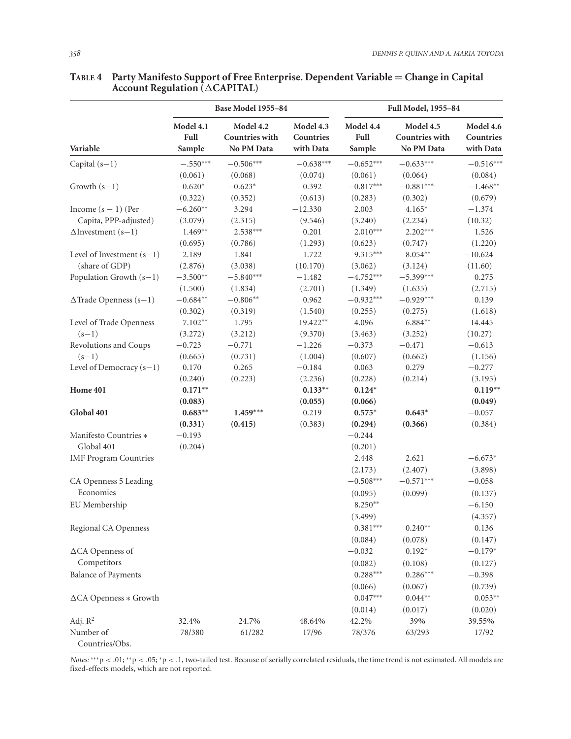|                                 | Base Model 1955-84          |                                           |                                     | Full Model, 1955-84         |                                           |                                     |
|---------------------------------|-----------------------------|-------------------------------------------|-------------------------------------|-----------------------------|-------------------------------------------|-------------------------------------|
| Variable                        | Model 4.1<br>Full<br>Sample | Model 4.2<br>Countries with<br>No PM Data | Model 4.3<br>Countries<br>with Data | Model 4.4<br>Full<br>Sample | Model 4.5<br>Countries with<br>No PM Data | Model 4.6<br>Countries<br>with Data |
| Capital $(s-1)$                 | $-.550***$                  | $-0.506***$                               | $-0.638***$                         | $-0.652***$                 | $-0.633***$                               | $-0.516***$                         |
|                                 | (0.061)                     | (0.068)                                   | (0.074)                             | (0.061)                     | (0.064)                                   | (0.084)                             |
| Growth $(s-1)$                  | $-0.620*$                   | $-0.623*$                                 | $-0.392$                            | $-0.817***$                 | $-0.881***$                               | $-1.468**$                          |
|                                 | (0.322)                     | (0.352)                                   | (0.613)                             | (0.283)                     | (0.302)                                   | (0.679)                             |
| Income $(s - 1)$ (Per           | $-6.260**$                  | 3.294                                     | $-12.330$                           | 2.003                       | $4.165*$                                  | $-1.374$                            |
| Capita, PPP-adjusted)           | (3.079)                     | (2.315)                                   | (9.546)                             | (3.240)                     | (2.234)                                   | (10.32)                             |
| $\Delta$ Investment (s-1)       | $1.469**$                   | 2.538***                                  | 0.201                               | $2.010***$                  | $2.202***$                                | 1.526                               |
|                                 | (0.695)                     | (0.786)                                   | (1.293)                             | (0.623)                     | (0.747)                                   | (1.220)                             |
|                                 |                             |                                           |                                     | 9.315***                    | $8.054**$                                 |                                     |
| Level of Investment $(s-1)$     | 2.189                       | 1.841                                     | 1.722                               |                             |                                           | $-10.624$                           |
| (share of GDP)                  | (2.876)                     | (3.038)                                   | (10.170)                            | (3.062)                     | (3.124)                                   | (11.60)                             |
| Population Growth $(s-1)$       | $-3.500**$                  | $-5.840***$                               | $-1.482$                            | $-4.752***$                 | $-5.399***$                               | 0.275                               |
|                                 | (1.500)                     | (1.834)                                   | (2.701)                             | (1.349)                     | (1.635)                                   | (2.715)                             |
| $\Delta$ Trade Openness (s-1)   | $-0.684**$                  | $-0.806**$                                | 0.962                               | $-0.932***$                 | $-0.929***$                               | 0.139                               |
|                                 | (0.302)                     | (0.319)                                   | (1.540)                             | (0.255)                     | (0.275)                                   | (1.618)                             |
| Level of Trade Openness         | $7.102**$                   | 1.795                                     | 19.422**                            | 4.096                       | $6.884**$                                 | 14.445                              |
| $(s-1)$                         | (3.272)                     | (3.212)                                   | (9.370)                             | (3.463)                     | (3.252)                                   | (10.27)                             |
| Revolutions and Coups           | $-0.723$                    | $-0.771$                                  | $-1.226$                            | $-0.373$                    | $-0.471$                                  | $-0.613$                            |
| $(s-1)$                         | (0.665)                     | (0.731)                                   | (1.004)                             | (0.607)                     | (0.662)                                   | (1.156)                             |
| Level of Democracy $(s-1)$      | 0.170                       | 0.265                                     | $-0.184$                            | 0.063                       | 0.279                                     | $-0.277$                            |
|                                 | (0.240)                     | (0.223)                                   | (2.236)                             | (0.228)                     | (0.214)                                   | (3.195)                             |
| Home 401                        | $0.171**$                   |                                           | $0.133**$                           | $0.124*$                    |                                           | $0.119**$                           |
|                                 | (0.083)                     |                                           | (0.055)                             | (0.066)                     |                                           | (0.049)                             |
| Global 401                      | $0.683**$                   | $1.459***$                                | 0.219                               | $0.575*$                    | $0.643*$                                  | $-0.057$                            |
|                                 | (0.331)                     | (0.415)                                   | (0.383)                             | (0.294)                     | (0.366)                                   | (0.384)                             |
| Manifesto Countries *           | $-0.193$                    |                                           |                                     | $-0.244$                    |                                           |                                     |
| Global 401                      | (0.204)                     |                                           |                                     | (0.201)                     |                                           |                                     |
| <b>IMF Program Countries</b>    |                             |                                           |                                     | 2.448                       | 2.621                                     | $-6.673*$                           |
|                                 |                             |                                           |                                     | (2.173)                     | (2.407)                                   | (3.898)                             |
| CA Openness 5 Leading           |                             |                                           |                                     | $-0.508***$                 | $-0.571***$                               | $-0.058$                            |
| Economies                       |                             |                                           |                                     | (0.095)                     | (0.099)                                   | (0.137)                             |
| EU Membership                   |                             |                                           |                                     | 8.250**                     |                                           | $-6.150$                            |
|                                 |                             |                                           |                                     |                             |                                           |                                     |
|                                 |                             |                                           |                                     | (3.499)                     |                                           | (4.357)                             |
| Regional CA Openness            |                             |                                           |                                     | $0.381***$                  | $0.240**$                                 | 0.136                               |
|                                 |                             |                                           |                                     | (0.084)                     | (0.078)                                   | (0.147)                             |
| ∆CA Openness of                 |                             |                                           |                                     | $-0.032$                    | $0.192*$                                  | $-0.179*$                           |
| Competitors                     |                             |                                           |                                     | (0.082)                     | (0.108)                                   | (0.127)                             |
| <b>Balance of Payments</b>      |                             |                                           |                                     | $0.288***$                  | $0.286***$                                | $-0.398$                            |
|                                 |                             |                                           |                                     | (0.066)                     | (0.067)                                   | (0.739)                             |
| $\Delta$ CA Openness $*$ Growth |                             |                                           |                                     | $0.047***$                  | $0.044**$                                 | $0.053**$                           |
|                                 |                             |                                           |                                     | (0.014)                     | (0.017)                                   | (0.020)                             |
| Adj. $R^2$                      | 32.4%                       | 24.7%                                     | 48.64%                              | 42.2%                       | 39%                                       | 39.55%                              |
| Number of                       | 78/380                      | 61/282                                    | 17/96                               | 78/376                      | 63/293                                    | 17/92                               |
| Countries/Obs.                  |                             |                                           |                                     |                             |                                           |                                     |

**TABLE 4 Party Manifesto Support of Free Enterprise. Dependent Variable** = **Change in Capital**  $Account Regulation (ΔCAPITAL)$ 

*Notes:* ∗∗∗p < .01; ∗∗p < .05; <sup>∗</sup>p < .1, two-tailed test. Because of serially correlated residuals, the time trend is not estimated. All models are fixed-effects models, which are not reported.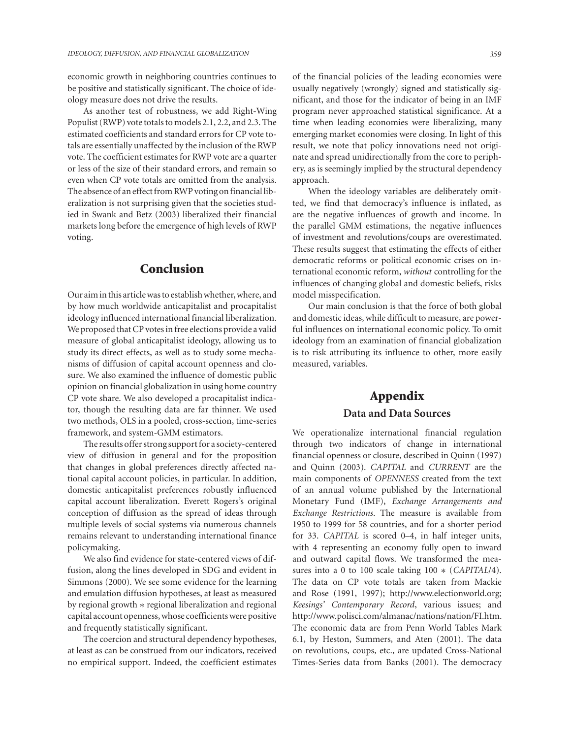economic growth in neighboring countries continues to be positive and statistically significant. The choice of ideology measure does not drive the results.

As another test of robustness, we add Right-Wing Populist (RWP) vote totals to models 2.1, 2.2, and 2.3. The estimated coefficients and standard errors for CP vote totals are essentially unaffected by the inclusion of the RWP vote. The coefficient estimates for RWP vote are a quarter or less of the size of their standard errors, and remain so even when CP vote totals are omitted from the analysis. The absence of an effect from RWP voting on financial liberalization is not surprising given that the societies studied in Swank and Betz (2003) liberalized their financial markets long before the emergence of high levels of RWP voting.

## **Conclusion**

Our aim in this article was to establish whether, where, and by how much worldwide anticapitalist and procapitalist ideology influenced international financial liberalization. We proposed that CP votes in free elections provide a valid measure of global anticapitalist ideology, allowing us to study its direct effects, as well as to study some mechanisms of diffusion of capital account openness and closure. We also examined the influence of domestic public opinion on financial globalization in using home country CP vote share. We also developed a procapitalist indicator, though the resulting data are far thinner. We used two methods, OLS in a pooled, cross-section, time-series framework, and system-GMM estimators.

The results offer strong support for a society-centered view of diffusion in general and for the proposition that changes in global preferences directly affected national capital account policies, in particular. In addition, domestic anticapitalist preferences robustly influenced capital account liberalization. Everett Rogers's original conception of diffusion as the spread of ideas through multiple levels of social systems via numerous channels remains relevant to understanding international finance policymaking.

We also find evidence for state-centered views of diffusion, along the lines developed in SDG and evident in Simmons (2000). We see some evidence for the learning and emulation diffusion hypotheses, at least as measured by regional growth ∗ regional liberalization and regional capital account openness, whose coefficients were positive and frequently statistically significant.

The coercion and structural dependency hypotheses, at least as can be construed from our indicators, received no empirical support. Indeed, the coefficient estimates of the financial policies of the leading economies were usually negatively (wrongly) signed and statistically significant, and those for the indicator of being in an IMF program never approached statistical significance. At a time when leading economies were liberalizing, many emerging market economies were closing. In light of this result, we note that policy innovations need not originate and spread unidirectionally from the core to periphery, as is seemingly implied by the structural dependency approach.

When the ideology variables are deliberately omitted, we find that democracy's influence is inflated, as are the negative influences of growth and income. In the parallel GMM estimations, the negative influences of investment and revolutions/coups are overestimated. These results suggest that estimating the effects of either democratic reforms or political economic crises on international economic reform, *without* controlling for the influences of changing global and domestic beliefs, risks model misspecification.

Our main conclusion is that the force of both global and domestic ideas, while difficult to measure, are powerful influences on international economic policy. To omit ideology from an examination of financial globalization is to risk attributing its influence to other, more easily measured, variables.

## **Appendix Data and Data Sources**

We operationalize international financial regulation through two indicators of change in international financial openness or closure, described in Quinn (1997) and Quinn (2003). *CAPITAL* and *CURRENT* are the main components of *OPENNESS* created from the text of an annual volume published by the International Monetary Fund (IMF), *Exchange Arrangements and Exchange Restrictions*. The measure is available from 1950 to 1999 for 58 countries, and for a shorter period for 33. *CAPITAL* is scored 0–4, in half integer units, with 4 representing an economy fully open to inward and outward capital flows. We transformed the measures into a 0 to 100 scale taking 100 ∗ (*CAPITAL*/4). The data on CP vote totals are taken from Mackie and Rose (1991, 1997); http://www.electionworld.org; *Keesings' Contemporary Record*, various issues; and http://www.polisci.com/almanac/nations/nation/FI.htm. The economic data are from Penn World Tables Mark 6.1, by Heston, Summers, and Aten (2001). The data on revolutions, coups, etc., are updated Cross-National Times-Series data from Banks (2001). The democracy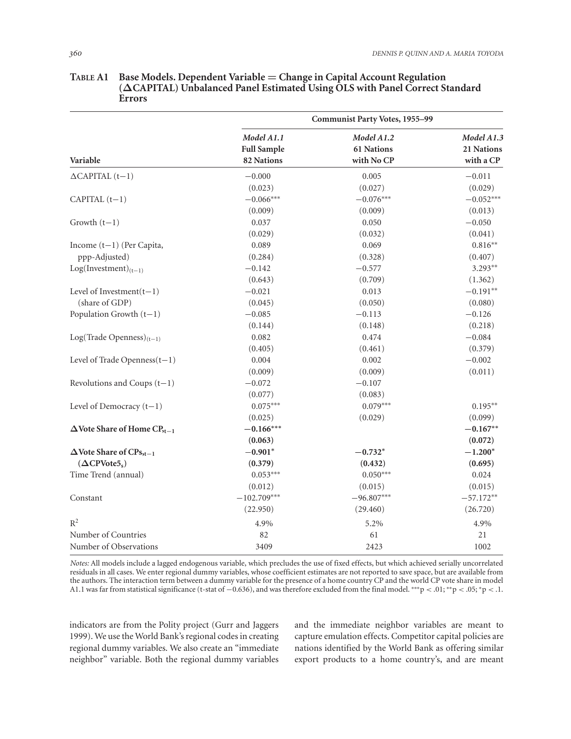|                                               |                                                | <b>Communist Party Votes, 1955-99</b>  |                                       |
|-----------------------------------------------|------------------------------------------------|----------------------------------------|---------------------------------------|
| Variable                                      | Model A1.1<br><b>Full Sample</b><br>82 Nations | Model A1.2<br>61 Nations<br>with No CP | Model A1.3<br>21 Nations<br>with a CP |
| $\triangle$ CAPITAL $(t-1)$                   | $-0.000$                                       | 0.005                                  | $-0.011$                              |
|                                               | (0.023)                                        | (0.027)                                | (0.029)                               |
| CAPITAL $(t-1)$                               | $-0.066***$                                    | $-0.076***$                            | $-0.052***$                           |
|                                               | (0.009)                                        | (0.009)                                | (0.013)                               |
| Growth $(t-1)$                                | 0.037                                          | 0.050                                  | $-0.050$                              |
|                                               | (0.029)                                        | (0.032)                                | (0.041)                               |
| Income $(t-1)$ (Per Capita,                   | 0.089                                          | 0.069                                  | $0.816**$                             |
| ppp-Adjusted)                                 | (0.284)                                        | (0.328)                                | (0.407)                               |
| $Log(Investment)_{(t-1)}$                     | $-0.142$                                       | $-0.577$                               | $3.293**$                             |
|                                               | (0.643)                                        | (0.709)                                | (1.362)                               |
| Level of Investment $(t-1)$                   | $-0.021$                                       | 0.013                                  | $-0.191**$                            |
| (share of GDP)                                | (0.045)                                        | (0.050)                                | (0.080)                               |
| Population Growth $(t-1)$                     | $-0.085$                                       | $-0.113$                               | $-0.126$                              |
|                                               | (0.144)                                        | (0.148)                                | (0.218)                               |
| $Log(Trace\, Openness)_{(t-1)}$               | 0.082                                          | 0.474                                  | $-0.084$                              |
|                                               | (0.405)                                        | (0.461)                                | (0.379)                               |
| Level of Trade Openness $(t-1)$               | 0.004                                          | 0.002                                  | $-0.002$                              |
|                                               | (0.009)                                        | (0.009)                                | (0.011)                               |
| Revolutions and Coups $(t-1)$                 | $-0.072$                                       | $-0.107$                               |                                       |
|                                               | (0.077)                                        | (0.083)                                |                                       |
| Level of Democracy $(t-1)$                    | $0.075***$                                     | $0.079***$                             | $0.195**$                             |
|                                               | (0.025)                                        | (0.029)                                | (0.099)                               |
| $\Delta$ Vote Share of Home CP <sub>1-1</sub> | $-0.166***$                                    |                                        | $-0.167**$                            |
|                                               | (0.063)                                        |                                        | (0.072)                               |
| $\Delta$ Vote Share of CPs <sub>2t-1</sub>    | $-0.901*$                                      | $-0.732*$                              | $-1.200*$                             |
| $(\Delta$ CPVote5 <sub>s</sub> )              | (0.379)                                        | (0.432)                                | (0.695)                               |
| Time Trend (annual)                           | $0.053***$                                     | $0.050***$                             | 0.024                                 |
|                                               | (0.012)                                        | (0.015)                                | (0.015)                               |
| Constant                                      | $-102.709***$                                  | $-96.807***$                           | $-57.172**$                           |
|                                               | (22.950)                                       | (29.460)                               | (26.720)                              |
| $R^2$                                         | 4.9%                                           | 5.2%                                   | 4.9%                                  |
| Number of Countries                           | 82                                             | 61                                     | 21                                    |
| Number of Observations                        | 3409                                           | 2423                                   | 1002                                  |

| TABLE A1 Base Models. Dependent Variable $=$ Change in Capital Account Regulation   |
|-------------------------------------------------------------------------------------|
| $(\Delta$ CAPITAL) Unbalanced Panel Estimated Using OLS with Panel Correct Standard |
| Errors                                                                              |

*Notes:* All models include a lagged endogenous variable, which precludes the use of fixed effects, but which achieved serially uncorrelated residuals in all cases. We enter regional dummy variables, whose coefficient estimates are not reported to save space, but are available from the authors. The interaction term between a dummy variable for the presence of a home country CP and the world CP vote share in model A1.1 was far from statistical significance (t-stat of −0.636), and was therefore excluded from the final model. ∗∗∗p < .01; ∗∗p < .05; <sup>∗</sup>p < .1.

indicators are from the Polity project (Gurr and Jaggers 1999). We use the World Bank's regional codes in creating regional dummy variables. We also create an "immediate neighbor" variable. Both the regional dummy variables and the immediate neighbor variables are meant to capture emulation effects. Competitor capital policies are nations identified by the World Bank as offering similar export products to a home country's, and are meant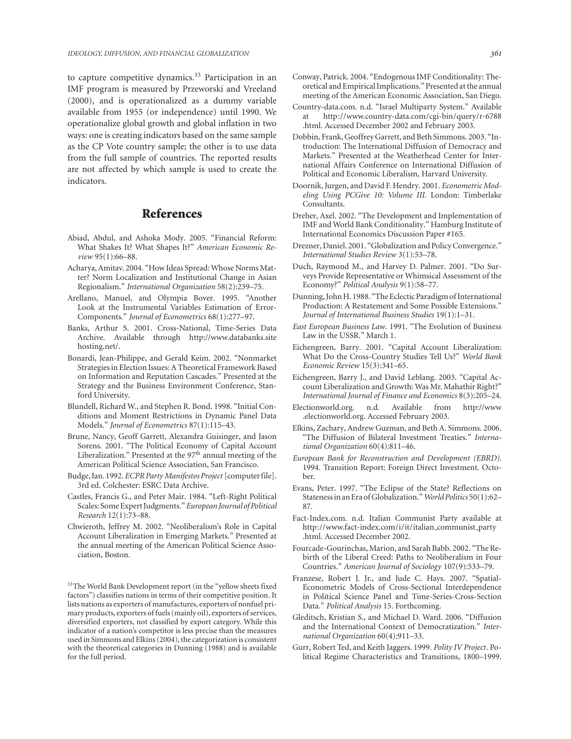to capture competitive dynamics.<sup>33</sup> Participation in an IMF program is measured by Przeworski and Vreeland (2000), and is operationalized as a dummy variable available from 1955 (or independence) until 1990. We operationalize global growth and global inflation in two ways: one is creating indicators based on the same sample as the CP Vote country sample; the other is to use data from the full sample of countries. The reported results are not affected by which sample is used to create the indicators.

## **References**

- Abiad, Abdul, and Ashoka Mody. 2005. "Financial Reform: What Shakes It? What Shapes It?" *American Economic Review* 95(1):66–88.
- Acharya, Amitav. 2004. "How Ideas Spread: Whose Norms Matter? Norm Localization and Institutional Change in Asian Regionalism." *International Organization* 58(2):239–75.
- Arellano, Manuel, and Olympia Bover. 1995. "Another Look at the Instrumental Variables Estimation of Error-Components." *Journal of Econometrics* 68(1):277–97.
- Banks, Arthur S. 2001. Cross-National, Time-Series Data Archive. Available through http://www.databanks.site hosting.net/.
- Bonardi, Jean-Philippe, and Gerald Keim. 2002. "Nonmarket Strategies in Election Issues: A Theoretical Framework Based on Information and Reputation Cascades." Presented at the Strategy and the Business Environment Conference, Stanford University.
- Blundell, Richard W., and Stephen R. Bond. 1998. "Initial Conditions and Moment Restrictions in Dynamic Panel Data Models." *Journal of Econometrics* 87(1):115–43.
- Brune, Nancy, Geoff Garrett, Alexandra Guisinger, and Jason Sorens. 2001. "The Political Economy of Capital Account Liberalization." Presented at the 97<sup>th</sup> annual meeting of the American Political Science Association, San Francisco.
- Budge, Ian. 1992.*ECPR Party Manifestos Project* [computerfile]. 3rd ed. Colchester: ESRC Data Archive.
- Castles, Francis G., and Peter Mair. 1984. "Left-Right Political Scales: Some Expert Judgments."*European Journal of Political Research* 12(1):73–88.
- Chwieroth, Jeffrey M. 2002. "Neoliberalism's Role in Capital Account Liberalization in Emerging Markets." Presented at the annual meeting of the American Political Science Association, Boston.

<sup>33</sup>The World Bank Development report (in the "yellow sheets fixed factors") classifies nations in terms of their competitive position. It lists nations as exporters of manufactures, exporters of nonfuel primary products, exporters of fuels (mainly oil), exporters of services, diversified exporters, not classified by export category. While this indicator of a nation's competitor is less precise than the measures used in Simmons and Elkins (2004), the categorization is consistent with the theoretical categories in Dunning (1988) and is available for the full period.

- oretical and Empirical Implications." Presented at the annual meeting of the American Economic Association, San Diego.
- Country-data.com. n.d. "Israel Multiparty System." Available http://www.country-data.com/cgi-bin/query/r-6788 .html. Accessed December 2002 and February 2003.
- Dobbin, Frank, Geoffrey Garrett, and Beth Simmons. 2003. "Introduction: The International Diffusion of Democracy and Markets." Presented at the Weatherhead Center for International Affairs Conference on International Diffusion of Political and Economic Liberalism, Harvard University.
- Doornik, Jurgen, and David F. Hendry. 2001. *Econometric Modeling Using PCGive 10: Volume III.* London: Timberlake Consultants.
- Dreher, Axel. 2002. "The Development and Implementation of IMF and World Bank Conditionality." Hamburg Institute of International Economics Discussion Paper #165.
- Drezner, Daniel. 2001. "Globalization and Policy Convergence." *International Studies Review* 3(1):53–78.
- Duch, Raymond M., and Harvey D. Palmer. 2001. "Do Surveys Provide Representative or Whimsical Assessment of the Economy?" *Political Analysis* 9(1):58–77.
- Dunning, JohnH. 1988. "The Eclectic Paradigm of International Production: A Restatement and Some Possible Extensions." *Journal of International Business Studies* 19(1):1–31.
- *East European Business Law*. 1991. "The Evolution of Business Law in the USSR." March 1.
- Eichengreen, Barry. 2001. "Capital Account Liberalization: What Do the Cross-Country Studies Tell Us?" *World Bank Economic Review* 15(3):341–65.
- Eichengreen, Barry J., and David Leblang. 2003. "Capital Account Liberalization and Growth: Was Mr. Mahathir Right?" *International Journal of Finance and Economics* 8(3):205–24.
- Electionworld.org. n.d. Available from http://www .electionworld.org. Accessed February 2003.
- Elkins, Zachary, Andrew Guzman, and Beth A. Simmons. 2006. "The Diffusion of Bilateral Investment Treaties." *International Organization* 60(4):811–46.
- *European Bank for Reconstruction and Development (EBRD)*. 1994. Transition Report: Foreign Direct Investment. October.
- Evans, Peter. 1997. "The Eclipse of the State? Reflections on Statenessin an Era of Globalization."*World Politics* 50(1):62– 87.
- Fact-Index.com. n.d. Italian Communist Party available at http://www.fact-index.com/i/it/italian communist party .html. Accessed December 2002.
- Fourcade-Gourinchas, Marion, and Sarah Babb. 2002. "The Rebirth of the Liberal Creed: Paths to Neoliberalism in Four Countries." *American Journal of Sociology* 107(9):533–79.
- Franzese, Robert J. Jr., and Jude C. Hays. 2007. "Spatial-Econometric Models of Cross-Sectional Interdependence in Political Science Panel and Time-Series-Cross-Section Data." *Political Analysis* 15. Forthcoming.
- Gleditsch, Kristian S., and Michael D. Ward. 2006. "Diffusion and the International Context of Democratization." *International Organization* 60(4):911–33.
- Gurr, Robert Ted, and Keith Jaggers. 1999. *Polity IV Project*. Political Regime Characteristics and Transitions, 1800–1999.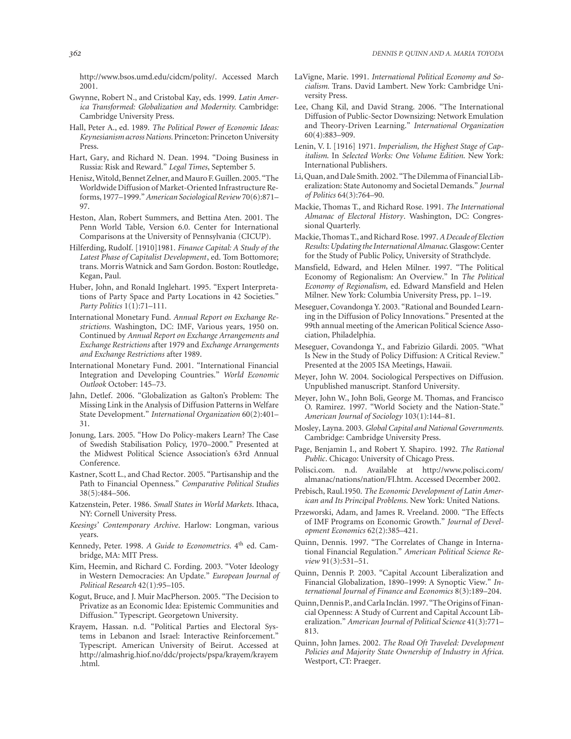http://www.bsos.umd.edu/cidcm/polity/. Accessed March 2001.

- Gwynne, Robert N., and Cristobal Kay, eds. 1999. *Latin America Transformed: Globalization and Modernity.* Cambridge: Cambridge University Press.
- Hall, Peter A., ed. 1989. *The Political Power of Economic Ideas: Keynesianism across Nations.*Princeton: Princeton University Press.
- Hart, Gary, and Richard N. Dean. 1994. "Doing Business in Russia: Risk and Reward." *Legal Times*, September 5.
- Henisz, Witold, Bennet Zelner, and Mauro F. Guillen. 2005. "The Worldwide Diffusion of Market-Oriented Infrastructure Reforms, 1977–1999."*American Sociological Review* 70(6):871– 97.
- Heston, Alan, Robert Summers, and Bettina Aten. 2001. The Penn World Table, Version 6.0. Center for International Comparisons at the University of Pennsylvania (CICUP).
- Hilferding, Rudolf. [1910]1981. *Finance Capital: A Study of the Latest Phase of Capitalist Development*, ed. Tom Bottomore; trans. Morris Watnick and Sam Gordon. Boston: Routledge, Kegan, Paul.
- Huber, John, and Ronald Inglehart. 1995. "Expert Interpretations of Party Space and Party Locations in 42 Societies." *Party Politics* 1(1):71–111.
- International Monetary Fund. *Annual Report on Exchange Restrictions.* Washington, DC: IMF, Various years, 1950 on. Continued by *Annual Report on Exchange Arrangements and Exchange Restrictions* after 1979 and *Exchange Arrangements and Exchange Restrictions* after 1989.
- International Monetary Fund. 2001. "International Financial Integration and Developing Countries." *World Economic Outlook* October: 145–73.
- Jahn, Detlef. 2006. "Globalization as Galton's Problem: The Missing Link in the Analysis of Diffusion Patterns in Welfare State Development." *International Organization* 60(2):401– 31.
- Jonung, Lars. 2005. "How Do Policy-makers Learn? The Case of Swedish Stabilisation Policy, 1970–2000." Presented at the Midwest Political Science Association's 63rd Annual Conference.
- Kastner, Scott L., and Chad Rector. 2005. "Partisanship and the Path to Financial Openness." *Comparative Political Studies* 38(5):484–506.
- Katzenstein, Peter. 1986. *Small States in World Markets*. Ithaca, NY: Cornell University Press.
- *Keesings' Contemporary Archive*. Harlow: Longman, various years.
- Kennedy, Peter. 1998. *A Guide to Econometrics*. 4<sup>th</sup> ed. Cambridge, MA: MIT Press.
- Kim, Heemin, and Richard C. Fording. 2003. "Voter Ideology in Western Democracies: An Update." *European Journal of Political Research* 42(1):95–105.
- Kogut, Bruce, and J. Muir MacPherson. 2005. "The Decision to Privatize as an Economic Idea: Epistemic Communities and Diffusion." Typescript. Georgetown University.
- Krayem, Hassan. n.d. "Political Parties and Electoral Systems in Lebanon and Israel: Interactive Reinforcement." Typescript. American University of Beirut. Accessed at http://almashrig.hiof.no/ddc/projects/pspa/krayem/krayem .html.
- LaVigne, Marie. 1991. *International Political Economy and Socialism.* Trans. David Lambert. New York: Cambridge University Press.
- Lee, Chang Kil, and David Strang. 2006. "The International Diffusion of Public-Sector Downsizing: Network Emulation and Theory-Driven Learning." *International Organization* 60(4):883–909.
- Lenin, V. I. [1916] 1971. *Imperialism, the Highest Stage of Capitalism*. In *Selected Works: One Volume Edition*. New York: International Publishers.
- Li, Quan, and Dale Smith. 2002. "The Dilemma of Financial Liberalization: State Autonomy and Societal Demands." *Journal of Politics* 64(3):764–90.
- Mackie, Thomas T., and Richard Rose. 1991. *The International Almanac of Electoral History*. Washington, DC: Congressional Quarterly.
- Mackie, Thomas T., and Richard Rose. 1997.*A Decade of Election Results: Updatingthe International Almanac.*Glasgow:Center for the Study of Public Policy, University of Strathclyde.
- Mansfield, Edward, and Helen Milner. 1997. "The Political Economy of Regionalism: An Overview." In *The Political Economy of Regionalism*, ed. Edward Mansfield and Helen Milner. New York: Columbia University Press, pp. 1–19.
- Meseguer, Covandonga Y. 2003. "Rational and Bounded Learning in the Diffusion of Policy Innovations." Presented at the 99th annual meeting of the American Political Science Association, Philadelphia.
- Meseguer, Covandonga Y., and Fabrizio Gilardi. 2005. "What Is New in the Study of Policy Diffusion: A Critical Review." Presented at the 2005 ISA Meetings, Hawaii.
- Meyer, John W. 2004. Sociological Perspectives on Diffusion. Unpublished manuscript. Stanford University.
- Meyer, John W., John Boli, George M. Thomas, and Francisco O. Ramirez. 1997. "World Society and the Nation-State." *American Journal of Sociology* 103(1):144–81.
- Mosley, Layna. 2003. *Global Capital and National Governments.* Cambridge: Cambridge University Press.
- Page, Benjamin I., and Robert Y. Shapiro. 1992. *The Rational Public*. Chicago: University of Chicago Press.
- Polisci.com. n.d. Available at http://www.polisci.com/ almanac/nations/nation/FI.htm. Accessed December 2002.
- Prebisch, Raul.1950. *The Economic Development of Latin American and Its Principal Problems*. New York: United Nations.
- Przeworski, Adam, and James R. Vreeland. 2000. "The Effects of IMF Programs on Economic Growth." *Journal of Development Economics* 62(2):385–421.
- Quinn, Dennis. 1997. "The Correlates of Change in International Financial Regulation." *American Political Science Review* 91(3):531–51.
- Quinn, Dennis P. 2003. "Capital Account Liberalization and Financial Globalization, 1890–1999: A Synoptic View." *International Journal of Finance and Economics* 8(3):189–204.
- Quinn, Dennis P., and Carla Inclán. 1997. "The Origins of Financial Openness: A Study of Current and Capital Account Liberalization." *American Journal of Political Science* 41(3):771– 813.
- Quinn, John James. 2002. *The Road Oft Traveled: Development Policies and Majority State Ownership of Industry in Africa*. Westport, CT: Praeger.